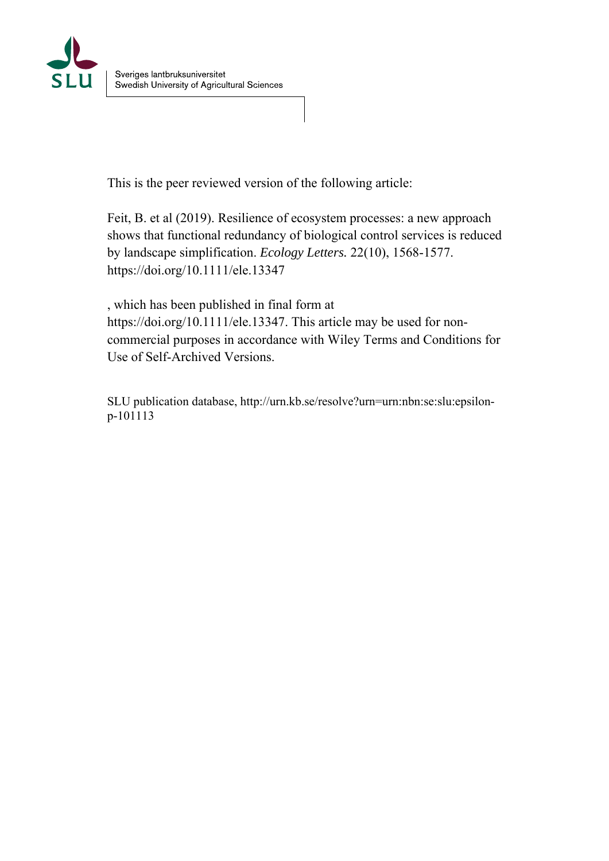

This is the peer reviewed version of the following article:

Feit, B. et al (2019). Resilience of ecosystem processes: a new approach shows that functional redundancy of biological control services is reduced by landscape simplification. *Ecology Letters.* 22(10), 1568-1577. https://doi.org/10.1111/ele.13347

, which has been published in final form at https://doi.org/10.1111/ele.13347. This article may be used for noncommercial purposes in accordance with Wiley Terms and Conditions for Use of Self-Archived Versions.

SLU publication database, http://urn.kb.se/resolve?urn=urn:nbn:se:slu:epsilonp-101113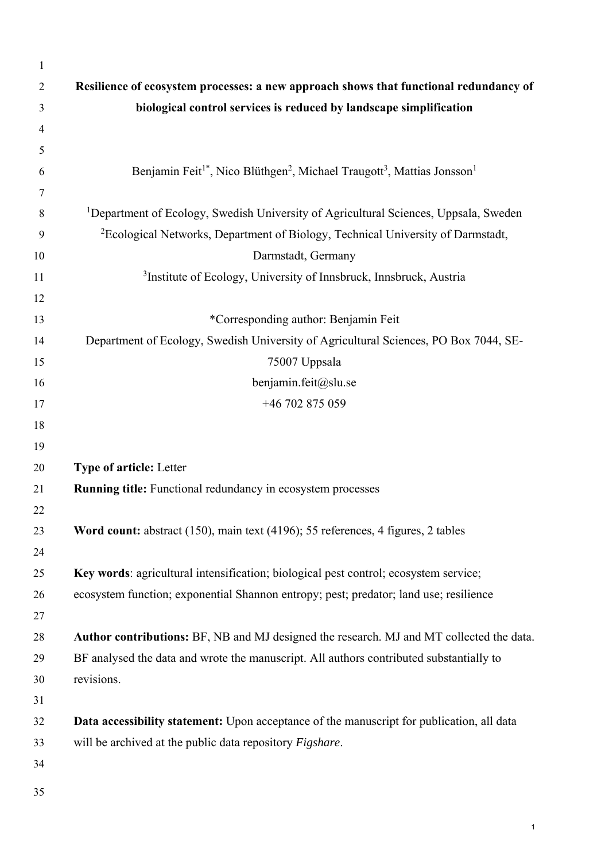| $\mathbf{1}$   |                                                                                                                         |
|----------------|-------------------------------------------------------------------------------------------------------------------------|
| $\overline{2}$ | Resilience of ecosystem processes: a new approach shows that functional redundancy of                                   |
| 3              | biological control services is reduced by landscape simplification                                                      |
| 4              |                                                                                                                         |
| 5              |                                                                                                                         |
| 6              | Benjamin Feit <sup>1*</sup> , Nico Blüthgen <sup>2</sup> , Michael Traugott <sup>3</sup> , Mattias Jonsson <sup>1</sup> |
| 7              |                                                                                                                         |
| 8              | <sup>1</sup> Department of Ecology, Swedish University of Agricultural Sciences, Uppsala, Sweden                        |
| 9              | <sup>2</sup> Ecological Networks, Department of Biology, Technical University of Darmstadt,                             |
| 10             | Darmstadt, Germany                                                                                                      |
| 11             | <sup>3</sup> Institute of Ecology, University of Innsbruck, Innsbruck, Austria                                          |
| 12             |                                                                                                                         |
| 13             | *Corresponding author: Benjamin Feit                                                                                    |
| 14             | Department of Ecology, Swedish University of Agricultural Sciences, PO Box 7044, SE-                                    |
| 15             | 75007 Uppsala                                                                                                           |
| 16             | benjamin.feit@slu.se                                                                                                    |
| 17             | +46 702 875 059                                                                                                         |
| 18             |                                                                                                                         |
| 19             |                                                                                                                         |
| 20             | <b>Type of article: Letter</b>                                                                                          |
| 21             | Running title: Functional redundancy in ecosystem processes                                                             |
| 22             |                                                                                                                         |
| 23             | Word count: abstract (150), main text (4196); 55 references, 4 figures, 2 tables                                        |
| 24             |                                                                                                                         |
| 25             | Key words: agricultural intensification; biological pest control; ecosystem service;                                    |
| 26             | ecosystem function; exponential Shannon entropy; pest; predator; land use; resilience                                   |
| 27             |                                                                                                                         |
| 28             | Author contributions: BF, NB and MJ designed the research. MJ and MT collected the data.                                |
| 29             | BF analysed the data and wrote the manuscript. All authors contributed substantially to                                 |
| 30             | revisions.                                                                                                              |
| 31             |                                                                                                                         |
| 32             | Data accessibility statement: Upon acceptance of the manuscript for publication, all data                               |
| 33             | will be archived at the public data repository Figshare.                                                                |
| 34             |                                                                                                                         |
| 35             |                                                                                                                         |
|                |                                                                                                                         |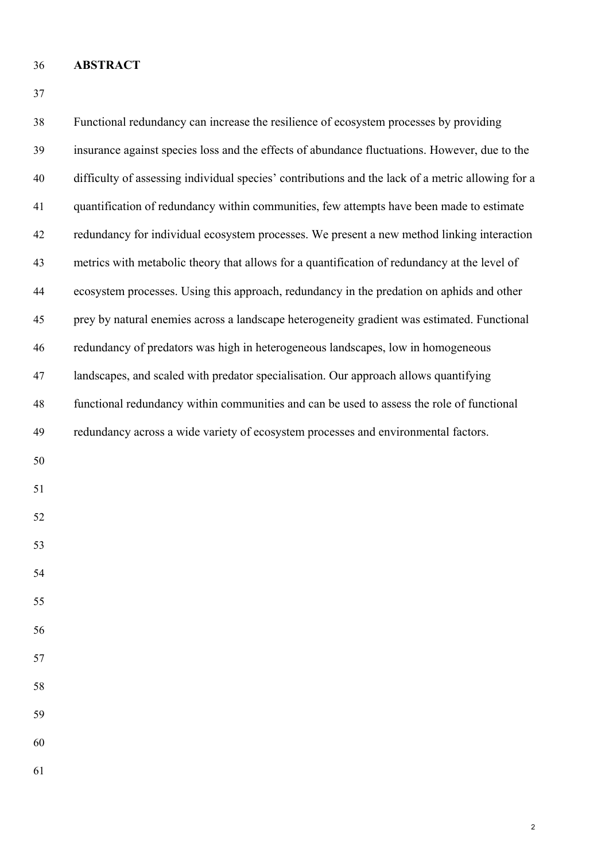# 36 **ABSTRACT**

| 38 | Functional redundancy can increase the resilience of ecosystem processes by providing             |
|----|---------------------------------------------------------------------------------------------------|
| 39 | insurance against species loss and the effects of abundance fluctuations. However, due to the     |
| 40 | difficulty of assessing individual species' contributions and the lack of a metric allowing for a |
| 41 | quantification of redundancy within communities, few attempts have been made to estimate          |
| 42 | redundancy for individual ecosystem processes. We present a new method linking interaction        |
| 43 | metrics with metabolic theory that allows for a quantification of redundancy at the level of      |
| 44 | ecosystem processes. Using this approach, redundancy in the predation on aphids and other         |
| 45 | prey by natural enemies across a landscape heterogeneity gradient was estimated. Functional       |
| 46 | redundancy of predators was high in heterogeneous landscapes, low in homogeneous                  |
| 47 | landscapes, and scaled with predator specialisation. Our approach allows quantifying              |
| 48 | functional redundancy within communities and can be used to assess the role of functional         |
| 49 | redundancy across a wide variety of ecosystem processes and environmental factors.                |
| 50 |                                                                                                   |
| 51 |                                                                                                   |
| 52 |                                                                                                   |
| 53 |                                                                                                   |
| 54 |                                                                                                   |
| 55 |                                                                                                   |
| 56 |                                                                                                   |
| 57 |                                                                                                   |
| 58 |                                                                                                   |
| 59 |                                                                                                   |
| 60 |                                                                                                   |
| 61 |                                                                                                   |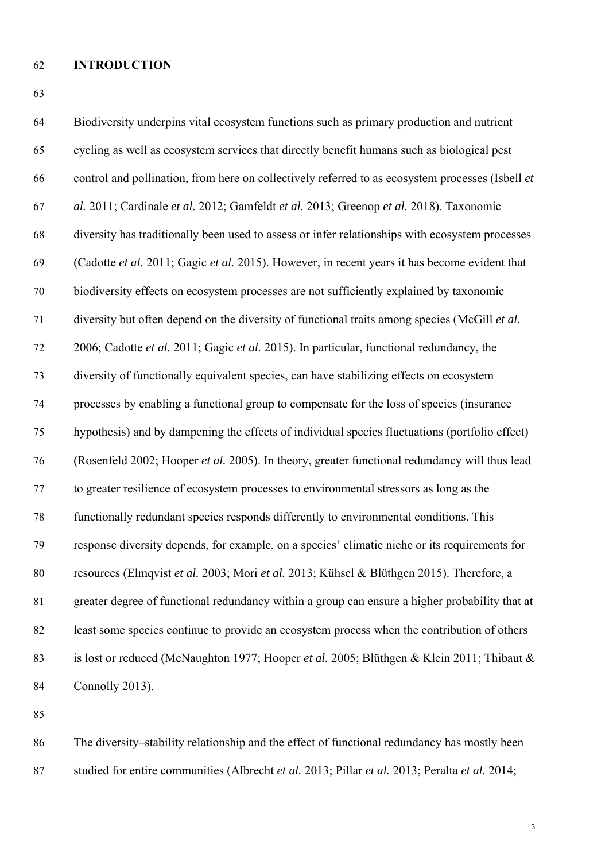# 62 **INTRODUCTION**

63

| 64 | Biodiversity underpins vital ecosystem functions such as primary production and nutrient         |
|----|--------------------------------------------------------------------------------------------------|
| 65 | cycling as well as ecosystem services that directly benefit humans such as biological pest       |
| 66 | control and pollination, from here on collectively referred to as ecosystem processes (Isbell et |
| 67 | al. 2011; Cardinale et al. 2012; Gamfeldt et al. 2013; Greenop et al. 2018). Taxonomic           |
| 68 | diversity has traditionally been used to assess or infer relationships with ecosystem processes  |
| 69 | (Cadotte et al. 2011; Gagic et al. 2015). However, in recent years it has become evident that    |
| 70 | biodiversity effects on ecosystem processes are not sufficiently explained by taxonomic          |
| 71 | diversity but often depend on the diversity of functional traits among species (McGill et al.    |
| 72 | 2006; Cadotte et al. 2011; Gagic et al. 2015). In particular, functional redundancy, the         |
| 73 | diversity of functionally equivalent species, can have stabilizing effects on ecosystem          |
| 74 | processes by enabling a functional group to compensate for the loss of species (insurance        |
| 75 | hypothesis) and by dampening the effects of individual species fluctuations (portfolio effect)   |
| 76 | (Rosenfeld 2002; Hooper et al. 2005). In theory, greater functional redundancy will thus lead    |
| 77 | to greater resilience of ecosystem processes to environmental stressors as long as the           |
| 78 | functionally redundant species responds differently to environmental conditions. This            |
| 79 | response diversity depends, for example, on a species' climatic niche or its requirements for    |
| 80 | resources (Elmqvist et al. 2003; Mori et al. 2013; Kühsel & Blüthgen 2015). Therefore, a         |
| 81 | greater degree of functional redundancy within a group can ensure a higher probability that at   |
| 82 | least some species continue to provide an ecosystem process when the contribution of others      |
| 83 | is lost or reduced (McNaughton 1977; Hooper et al. 2005; Blüthgen & Klein 2011; Thibaut &        |
| 84 | Connolly 2013).                                                                                  |
|    |                                                                                                  |

85

86 The diversity–stability relationship and the effect of functional redundancy has mostly been 87 studied for entire communities (Albrecht *et al.* 2013; Pillar *et al.* 2013; Peralta *et al.* 2014;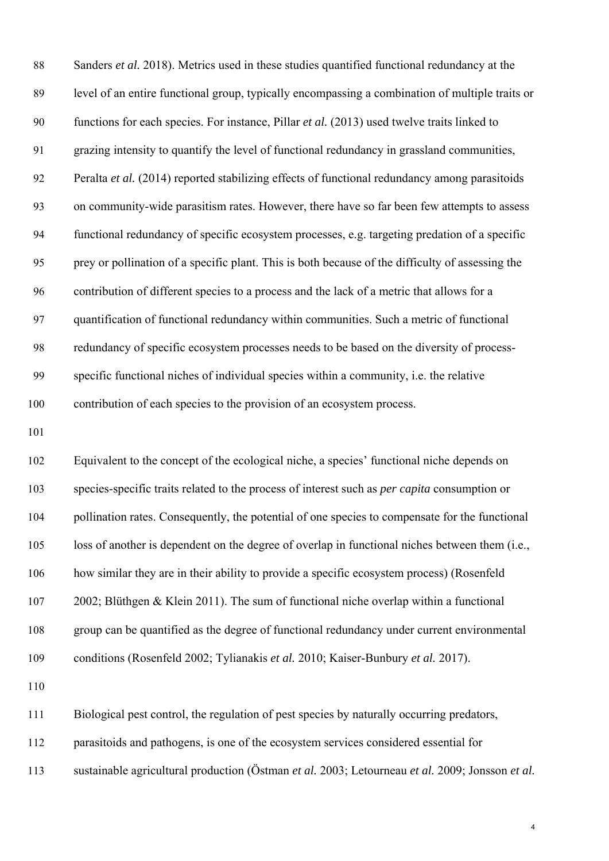| $88\,$ | Sanders et al. 2018). Metrics used in these studies quantified functional redundancy at the         |
|--------|-----------------------------------------------------------------------------------------------------|
| 89     | level of an entire functional group, typically encompassing a combination of multiple traits or     |
| 90     | functions for each species. For instance, Pillar et al. (2013) used twelve traits linked to         |
| 91     | grazing intensity to quantify the level of functional redundancy in grassland communities,          |
| 92     | Peralta et al. (2014) reported stabilizing effects of functional redundancy among parasitoids       |
| 93     | on community-wide parasitism rates. However, there have so far been few attempts to assess          |
| 94     | functional redundancy of specific ecosystem processes, e.g. targeting predation of a specific       |
| 95     | prey or pollination of a specific plant. This is both because of the difficulty of assessing the    |
| 96     | contribution of different species to a process and the lack of a metric that allows for a           |
| 97     | quantification of functional redundancy within communities. Such a metric of functional             |
| 98     | redundancy of specific ecosystem processes needs to be based on the diversity of process-           |
| 99     | specific functional niches of individual species within a community, i.e. the relative              |
|        |                                                                                                     |
| 100    | contribution of each species to the provision of an ecosystem process.                              |
| 101    |                                                                                                     |
| 102    | Equivalent to the concept of the ecological niche, a species' functional niche depends on           |
| 103    | species-specific traits related to the process of interest such as <i>per capita</i> consumption or |
| 104    | pollination rates. Consequently, the potential of one species to compensate for the functional      |
| 105    | loss of another is dependent on the degree of overlap in functional niches between them (i.e.,      |
| 106    | how similar they are in their ability to provide a specific ecosystem process) (Rosenfeld           |
| 107    | 2002; Blüthgen & Klein 2011). The sum of functional niche overlap within a functional               |
| 108    | group can be quantified as the degree of functional redundancy under current environmental          |
| 109    | conditions (Rosenfeld 2002; Tylianakis et al. 2010; Kaiser-Bunbury et al. 2017).                    |
| 110    |                                                                                                     |
| 111    | Biological pest control, the regulation of pest species by naturally occurring predators,           |

- 112 parasitoids and pathogens, is one of the ecosystem services considered essential for
- 113 sustainable agricultural production (Östman *et al.* 2003; Letourneau *et al.* 2009; Jonsson *et al.*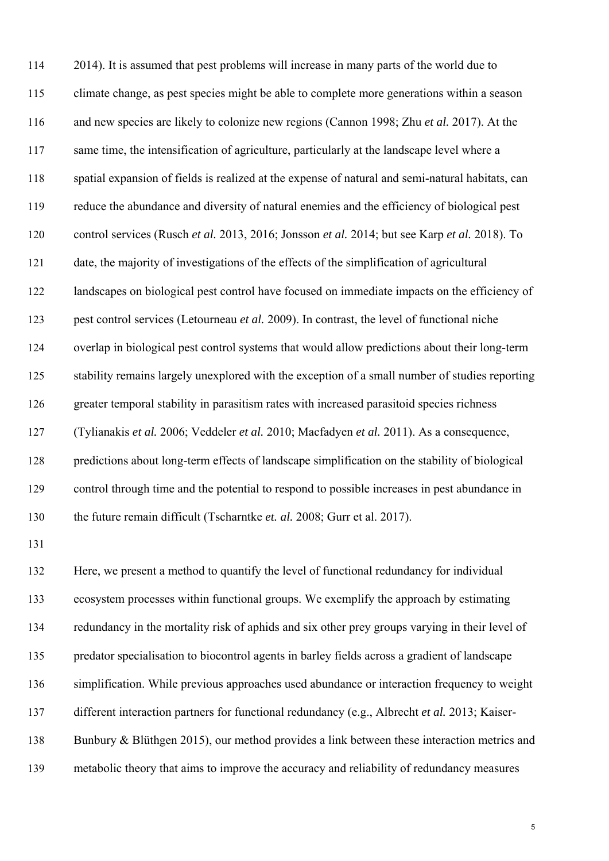114 2014). It is assumed that pest problems will increase in many parts of the world due to 115 climate change, as pest species might be able to complete more generations within a season 116 and new species are likely to colonize new regions (Cannon 1998; Zhu *et al.* 2017). At the 117 same time, the intensification of agriculture, particularly at the landscape level where a 118 spatial expansion of fields is realized at the expense of natural and semi-natural habitats, can 119 reduce the abundance and diversity of natural enemies and the efficiency of biological pest 120 control services (Rusch *et al.* 2013, 2016; Jonsson *et al.* 2014; but see Karp *et al.* 2018). To 121 date, the majority of investigations of the effects of the simplification of agricultural 122 landscapes on biological pest control have focused on immediate impacts on the efficiency of 123 pest control services (Letourneau *et al.* 2009). In contrast, the level of functional niche 124 overlap in biological pest control systems that would allow predictions about their long-term 125 stability remains largely unexplored with the exception of a small number of studies reporting 126 greater temporal stability in parasitism rates with increased parasitoid species richness 127 (Tylianakis *et al.* 2006; Veddeler *et al.* 2010; Macfadyen *et al.* 2011). As a consequence, 128 predictions about long-term effects of landscape simplification on the stability of biological 129 control through time and the potential to respond to possible increases in pest abundance in 130 the future remain difficult (Tscharntke *et. al.* 2008; Gurr et al. 2017). 131 132 Here, we present a method to quantify the level of functional redundancy for individual 133 ecosystem processes within functional groups. We exemplify the approach by estimating

134 redundancy in the mortality risk of aphids and six other prey groups varying in their level of 135 predator specialisation to biocontrol agents in barley fields across a gradient of landscape 136 simplification. While previous approaches used abundance or interaction frequency to weight 137 different interaction partners for functional redundancy (e.g., Albrecht *et al.* 2013; Kaiser-

138 Bunbury & Blüthgen 2015), our method provides a link between these interaction metrics and

139 metabolic theory that aims to improve the accuracy and reliability of redundancy measures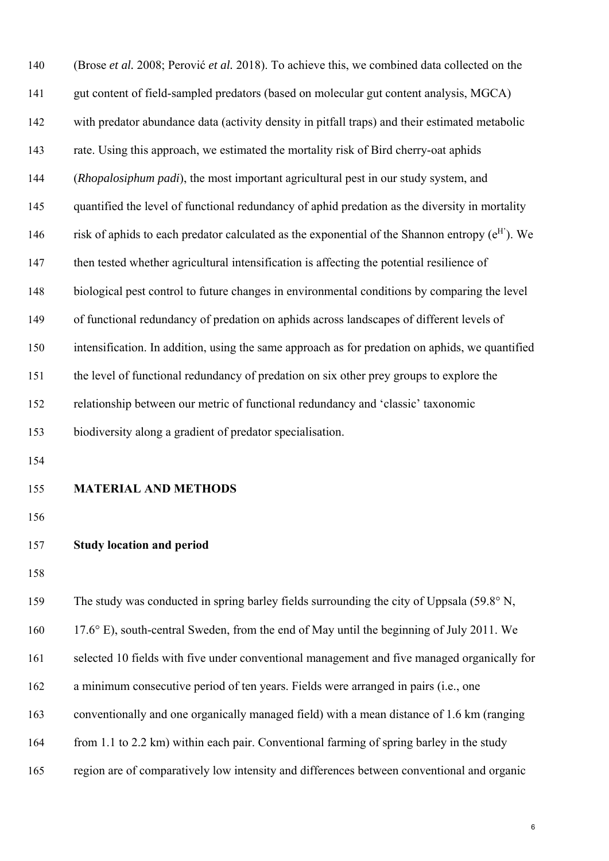| 140 | (Brose et al. 2008; Perović et al. 2018). To achieve this, we combined data collected on the      |
|-----|---------------------------------------------------------------------------------------------------|
| 141 | gut content of field-sampled predators (based on molecular gut content analysis, MGCA)            |
| 142 | with predator abundance data (activity density in pitfall traps) and their estimated metabolic    |
| 143 | rate. Using this approach, we estimated the mortality risk of Bird cherry-oat aphids              |
| 144 | (Rhopalosiphum padi), the most important agricultural pest in our study system, and               |
| 145 | quantified the level of functional redundancy of aphid predation as the diversity in mortality    |
| 146 | risk of aphids to each predator calculated as the exponential of the Shannon entropy $(e^H)$ . We |
| 147 | then tested whether agricultural intensification is affecting the potential resilience of         |
| 148 | biological pest control to future changes in environmental conditions by comparing the level      |
| 149 | of functional redundancy of predation on aphids across landscapes of different levels of          |
| 150 | intensification. In addition, using the same approach as for predation on aphids, we quantified   |
| 151 | the level of functional redundancy of predation on six other prey groups to explore the           |
| 152 | relationship between our metric of functional redundancy and 'classic' taxonomic                  |
| 153 | biodiversity along a gradient of predator specialisation.                                         |
| 154 |                                                                                                   |
| 155 | <b>MATERIAL AND METHODS</b>                                                                       |
| 156 |                                                                                                   |
| 157 | <b>Study location and period</b>                                                                  |
| 158 |                                                                                                   |
| 159 | The study was conducted in spring barley fields surrounding the city of Uppsala (59.8° N,         |
| 160 | 17.6° E), south-central Sweden, from the end of May until the beginning of July 2011. We          |

161 selected 10 fields with five under conventional management and five managed organically for

- 162 a minimum consecutive period of ten years. Fields were arranged in pairs (i.e., one
- 163 conventionally and one organically managed field) with a mean distance of 1.6 km (ranging
- 164 from 1.1 to 2.2 km) within each pair. Conventional farming of spring barley in the study
- 165 region are of comparatively low intensity and differences between conventional and organic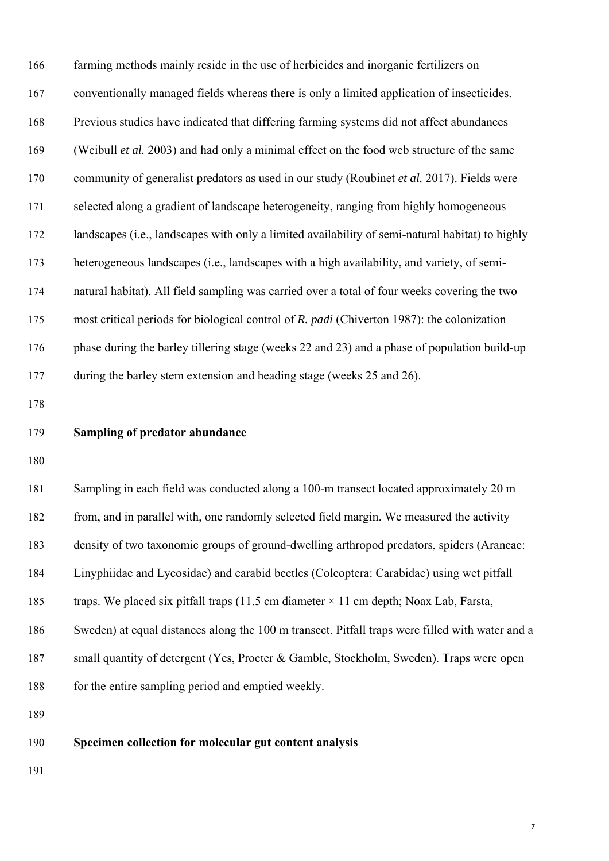| 166 | farming methods mainly reside in the use of herbicides and inorganic fertilizers on              |
|-----|--------------------------------------------------------------------------------------------------|
| 167 | conventionally managed fields whereas there is only a limited application of insecticides.       |
| 168 | Previous studies have indicated that differing farming systems did not affect abundances         |
| 169 | (Weibull et al. 2003) and had only a minimal effect on the food web structure of the same        |
| 170 | community of generalist predators as used in our study (Roubinet et al. 2017). Fields were       |
| 171 | selected along a gradient of landscape heterogeneity, ranging from highly homogeneous            |
| 172 | landscapes (i.e., landscapes with only a limited availability of semi-natural habitat) to highly |
| 173 | heterogeneous landscapes (i.e., landscapes with a high availability, and variety, of semi-       |
| 174 | natural habitat). All field sampling was carried over a total of four weeks covering the two     |
| 175 | most critical periods for biological control of R. padi (Chiverton 1987): the colonization       |
| 176 | phase during the barley tillering stage (weeks 22 and 23) and a phase of population build-up     |
| 177 | during the barley stem extension and heading stage (weeks 25 and 26).                            |
| 178 |                                                                                                  |
| 179 | <b>Sampling of predator abundance</b>                                                            |
| 180 |                                                                                                  |
| 181 | Sampling in each field was conducted along a 100-m transect located approximately 20 m           |
| 182 | from, and in parallel with, one randomly selected field margin. We measured the activity         |
| 183 | density of two taxonomic groups of ground-dwelling arthropod predators, spiders (Araneae:        |
| 184 | Linyphiidae and Lycosidae) and carabid beetles (Coleoptera: Carabidae) using wet pitfall         |
| 185 | traps. We placed six pitfall traps (11.5 cm diameter $\times$ 11 cm depth; Noax Lab, Farsta,     |
| 186 | Sweden) at equal distances along the 100 m transect. Pitfall traps were filled with water and a  |
| 187 | small quantity of detergent (Yes, Procter & Gamble, Stockholm, Sweden). Traps were open          |
| 188 | for the entire sampling period and emptied weekly.                                               |
| 189 |                                                                                                  |
| 190 | Specimen collection for molecular gut content analysis                                           |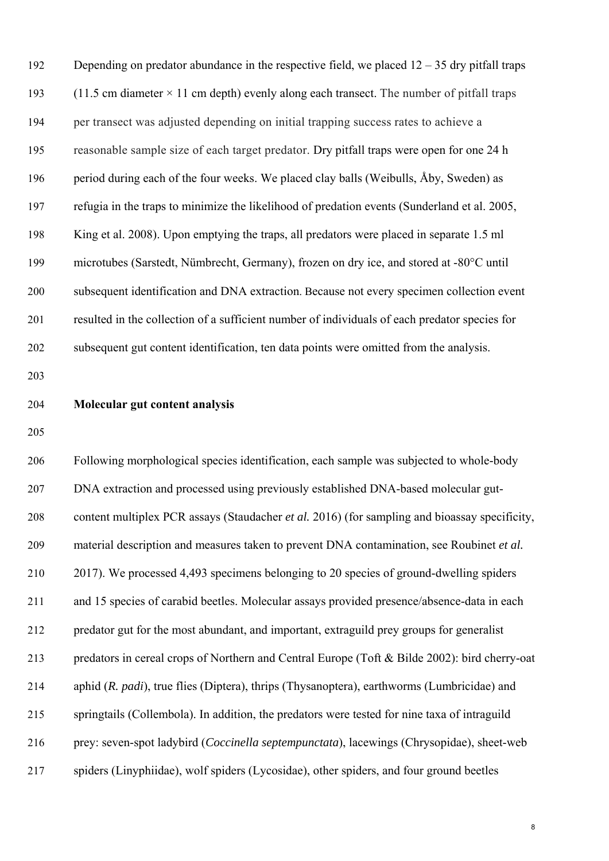192 Depending on predator abundance in the respective field, we placed  $12 - 35$  dry pitfall traps 193 (11.5 cm diameter  $\times$  11 cm depth) evenly along each transect. The number of pitfall traps 194 per transect was adjusted depending on initial trapping success rates to achieve a 195 reasonable sample size of each target predator. Dry pitfall traps were open for one 24 h 196 period during each of the four weeks. We placed clay balls (Weibulls, Åby, Sweden) as 197 refugia in the traps to minimize the likelihood of predation events (Sunderland et al. 2005, 198 King et al. 2008). Upon emptying the traps, all predators were placed in separate 1.5 ml 199 microtubes (Sarstedt, Nümbrecht, Germany), frozen on dry ice, and stored at -80°C until 200 subsequent identification and DNA extraction. Because not every specimen collection event 201 resulted in the collection of a sufficient number of individuals of each predator species for 202 subsequent gut content identification, ten data points were omitted from the analysis.

203

#### 204 **Molecular gut content analysis**

205

206 Following morphological species identification, each sample was subjected to whole-body 207 DNA extraction and processed using previously established DNA-based molecular gut-208 content multiplex PCR assays (Staudacher *et al.* 2016) (for sampling and bioassay specificity, 209 material description and measures taken to prevent DNA contamination, see Roubinet *et al.* 210 2017). We processed 4,493 specimens belonging to 20 species of ground-dwelling spiders 211 and 15 species of carabid beetles. Molecular assays provided presence/absence-data in each 212 predator gut for the most abundant, and important, extraguild prey groups for generalist 213 predators in cereal crops of Northern and Central Europe (Toft & Bilde 2002): bird cherry-oat 214 aphid (*R. padi*), true flies (Diptera), thrips (Thysanoptera), earthworms (Lumbricidae) and 215 springtails (Collembola). In addition, the predators were tested for nine taxa of intraguild 216 prey: seven-spot ladybird (*Coccinella septempunctata*), lacewings (Chrysopidae), sheet-web 217 spiders (Linyphiidae), wolf spiders (Lycosidae), other spiders, and four ground beetles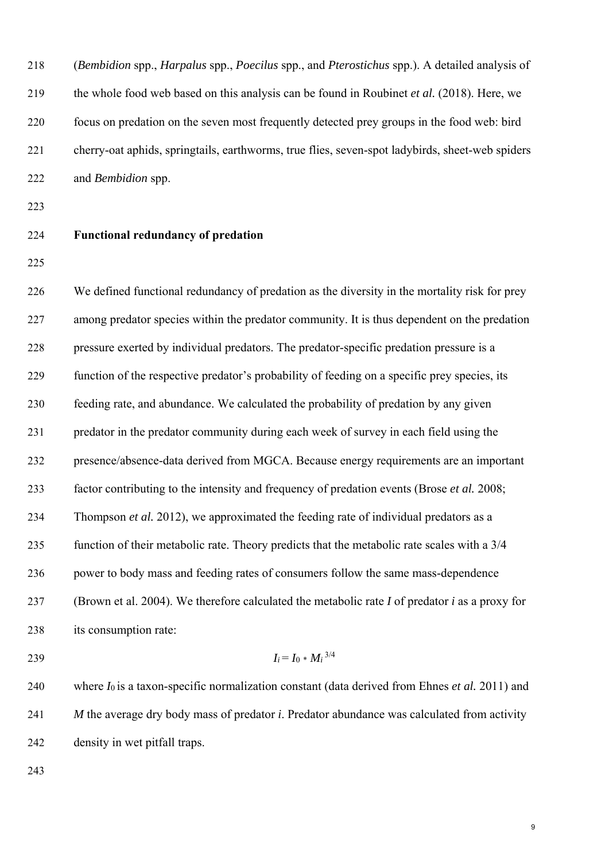218 (*Bembidion* spp., *Harpalus* spp., *Poecilus* spp., and *Pterostichus* spp.). A detailed analysis of 219 the whole food web based on this analysis can be found in Roubinet *et al.* (2018). Here, we 220 focus on predation on the seven most frequently detected prey groups in the food web: bird 221 cherry-oat aphids, springtails, earthworms, true flies, seven-spot ladybirds, sheet-web spiders 222 and *Bembidion* spp.

- 223
- 

## 224 **Functional redundancy of predation**

225

226 We defined functional redundancy of predation as the diversity in the mortality risk for prey 227 among predator species within the predator community. It is thus dependent on the predation 228 pressure exerted by individual predators. The predator-specific predation pressure is a 229 function of the respective predator's probability of feeding on a specific prey species, its 230 feeding rate, and abundance. We calculated the probability of predation by any given 231 predator in the predator community during each week of survey in each field using the 232 presence/absence-data derived from MGCA. Because energy requirements are an important 233 factor contributing to the intensity and frequency of predation events (Brose *et al.* 2008; 234 Thompson *et al.* 2012), we approximated the feeding rate of individual predators as a 235 function of their metabolic rate. Theory predicts that the metabolic rate scales with a 3/4 236 power to body mass and feeding rates of consumers follow the same mass-dependence 237 (Brown et al. 2004). We therefore calculated the metabolic rate *I* of predator *i* as a proxy for 238 its consumption rate:

$$
I_i = I_0 * M_i^{3/4}
$$

240 where *I*0 is a taxon-specific normalization constant (data derived from Ehnes *et al.* 2011) and 241 *M* the average dry body mass of predator *i*. Predator abundance was calculated from activity 242 density in wet pitfall traps.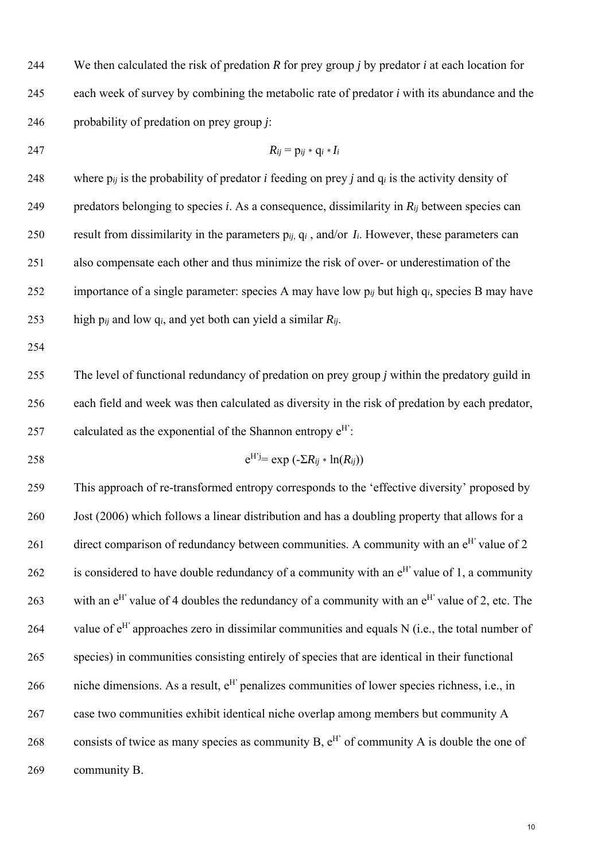244 We then calculated the risk of predation *R* for prey group *j* by predator *i* at each location for 245 each week of survey by combining the metabolic rate of predator *i* with its abundance and the 246 probability of predation on prey group *j*:

247  $R_{ij} = p_{ij} * q_i * I_i$ 

248 where  $p_{ij}$  is the probability of predator *i* feeding on prey *j* and  $q_i$  is the activity density of 249 predators belonging to species *i*. As a consequence, dissimilarity in  $R_{ij}$  between species can 250 result from dissimilarity in the parameters p*ij*, q*i* , and/or *Ii*. However, these parameters can 251 also compensate each other and thus minimize the risk of over- or underestimation of the 252 importance of a single parameter: species A may have low p*ij* but high q*i*, species B may have 253 high  $p_{ij}$  and low  $q_i$ , and yet both can yield a similar  $R_{ij}$ .

254

255 The level of functional redundancy of predation on prey group *j* within the predatory guild in 256 each field and week was then calculated as diversity in the risk of predation by each predator, 257 calculated as the exponential of the Shannon entropy  $e^{H'}$ :

258  $e^{H'j} = \exp(-\sum R_{ij} * \ln(R_{ij}))$ 

259 This approach of re-transformed entropy corresponds to the 'effective diversity' proposed by 260 Jost (2006) which follows a linear distribution and has a doubling property that allows for a 261 direct comparison of redundancy between communities. A community with an  $e^{H'}$  value of 2 262 is considered to have double redundancy of a community with an  $e^{H'}$  value of 1, a community 263 with an  $e^{H'}$  value of 4 doubles the redundancy of a community with an  $e^{H'}$  value of 2, etc. The 264 value of  $e^H$  approaches zero in dissimilar communities and equals N (i.e., the total number of 265 species) in communities consisting entirely of species that are identical in their functional 266 per niche dimensions. As a result,  $e^H$  penalizes communities of lower species richness, i.e., in 267 case two communities exhibit identical niche overlap among members but community A 268 consists of twice as many species as community B,  $e^{H'}$  of community A is double the one of 269 community B.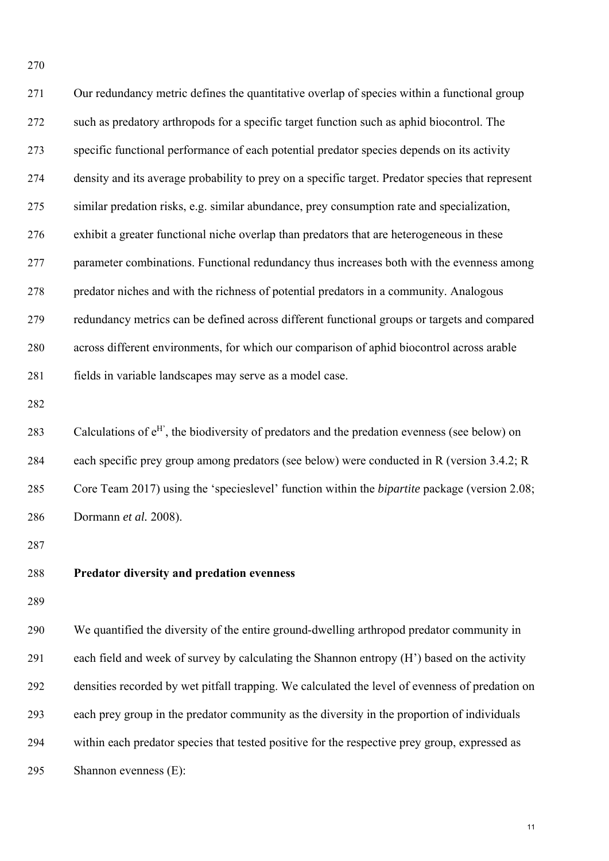271 Our redundancy metric defines the quantitative overlap of species within a functional group 272 such as predatory arthropods for a specific target function such as aphid biocontrol. The 273 specific functional performance of each potential predator species depends on its activity 274 density and its average probability to prey on a specific target. Predator species that represent 275 similar predation risks, e.g. similar abundance, prey consumption rate and specialization, 276 exhibit a greater functional niche overlap than predators that are heterogeneous in these 277 parameter combinations. Functional redundancy thus increases both with the evenness among 278 predator niches and with the richness of potential predators in a community. Analogous 279 redundancy metrics can be defined across different functional groups or targets and compared 280 across different environments, for which our comparison of aphid biocontrol across arable 281 fields in variable landscapes may serve as a model case. 282 283 Calculations of  $e^H$ , the biodiversity of predators and the predation evenness (see below) on 284 each specific prey group among predators (see below) were conducted in R (version 3.4.2; R 285 Core Team 2017) using the 'specieslevel' function within the *bipartite* package (version 2.08;

286 Dormann *et al.* 2008).

287

270

# 288 **Predator diversity and predation evenness**

289

290 We quantified the diversity of the entire ground-dwelling arthropod predator community in 291 each field and week of survey by calculating the Shannon entropy (H') based on the activity 292 densities recorded by wet pitfall trapping. We calculated the level of evenness of predation on 293 each prey group in the predator community as the diversity in the proportion of individuals 294 within each predator species that tested positive for the respective prey group, expressed as 295 Shannon evenness (E):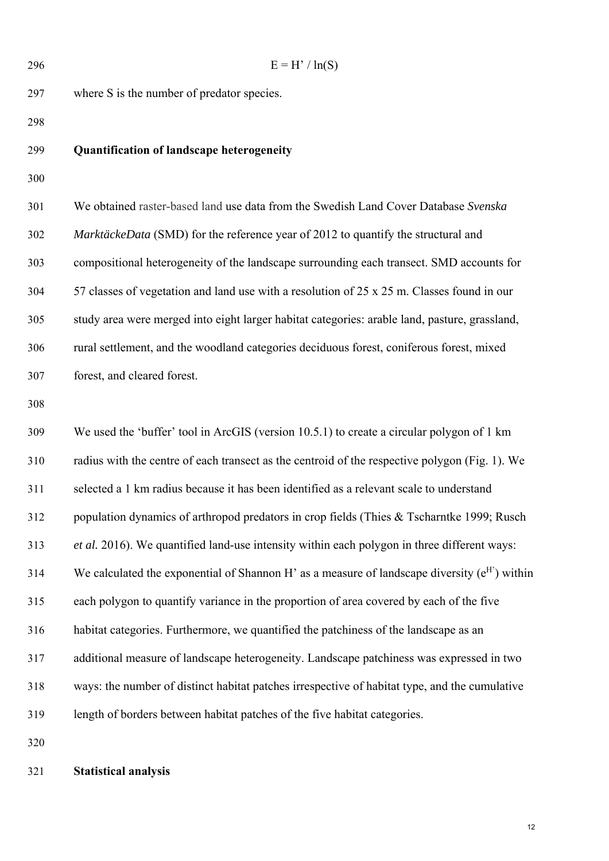296  $E = H'/\ln(S)$ 297 where S is the number of predator species. 298 299 **Quantification of landscape heterogeneity** 300 301 We obtained raster-based land use data from the Swedish Land Cover Database *Svenska*  302 *MarktäckeData* (SMD) for the reference year of 2012 to quantify the structural and 303 compositional heterogeneity of the landscape surrounding each transect. SMD accounts for 304 57 classes of vegetation and land use with a resolution of 25 x 25 m. Classes found in our 305 study area were merged into eight larger habitat categories: arable land, pasture, grassland, 306 rural settlement, and the woodland categories deciduous forest, coniferous forest, mixed 307 forest, and cleared forest. 308 309 We used the 'buffer' tool in ArcGIS (version 10.5.1) to create a circular polygon of 1 km 310 radius with the centre of each transect as the centroid of the respective polygon (Fig. 1). We 311 selected a 1 km radius because it has been identified as a relevant scale to understand 312 population dynamics of arthropod predators in crop fields (Thies & Tscharntke 1999; Rusch 313 *et al.* 2016). We quantified land-use intensity within each polygon in three different ways: 314 We calculated the exponential of Shannon H' as a measure of landscape diversity  $(e^H)$  within 315 each polygon to quantify variance in the proportion of area covered by each of the five 316 habitat categories. Furthermore, we quantified the patchiness of the landscape as an 317 additional measure of landscape heterogeneity. Landscape patchiness was expressed in two 318 ways: the number of distinct habitat patches irrespective of habitat type, and the cumulative 319 length of borders between habitat patches of the five habitat categories. 320

### 321 **Statistical analysis**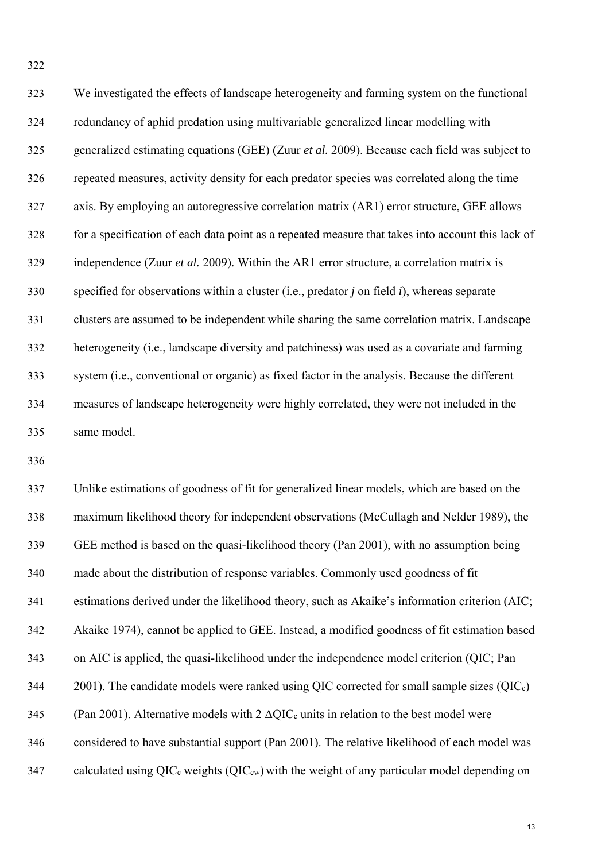| 323 | We investigated the effects of landscape heterogeneity and farming system on the functional       |
|-----|---------------------------------------------------------------------------------------------------|
| 324 | redundancy of aphid predation using multivariable generalized linear modelling with               |
| 325 | generalized estimating equations (GEE) (Zuur et al. 2009). Because each field was subject to      |
| 326 | repeated measures, activity density for each predator species was correlated along the time       |
| 327 | axis. By employing an autoregressive correlation matrix (AR1) error structure, GEE allows         |
| 328 | for a specification of each data point as a repeated measure that takes into account this lack of |
| 329 | independence (Zuur et al. 2009). Within the AR1 error structure, a correlation matrix is          |
| 330 | specified for observations within a cluster (i.e., predator $j$ on field $i$ ), whereas separate  |
| 331 | clusters are assumed to be independent while sharing the same correlation matrix. Landscape       |
| 332 | heterogeneity (i.e., landscape diversity and patchiness) was used as a covariate and farming      |
| 333 | system (i.e., conventional or organic) as fixed factor in the analysis. Because the different     |
| 334 | measures of landscape heterogeneity were highly correlated, they were not included in the         |
| 335 | same model.                                                                                       |

336

337 Unlike estimations of goodness of fit for generalized linear models, which are based on the 338 maximum likelihood theory for independent observations (McCullagh and Nelder 1989), the 339 GEE method is based on the quasi-likelihood theory (Pan 2001), with no assumption being 340 made about the distribution of response variables. Commonly used goodness of fit 341 estimations derived under the likelihood theory, such as Akaike's information criterion (AIC; 342 Akaike 1974), cannot be applied to GEE. Instead, a modified goodness of fit estimation based 343 on AIC is applied, the quasi-likelihood under the independence model criterion (QIC; Pan  $344$  2001). The candidate models were ranked using QIC corrected for small sample sizes (QIC<sub>c</sub>) 345 (Pan 2001). Alternative models with  $2 \triangle QIC_c$  units in relation to the best model were 346 considered to have substantial support (Pan 2001). The relative likelihood of each model was 347 calculated using  $QIC_c$  weights  $(QIC_{cw})$  with the weight of any particular model depending on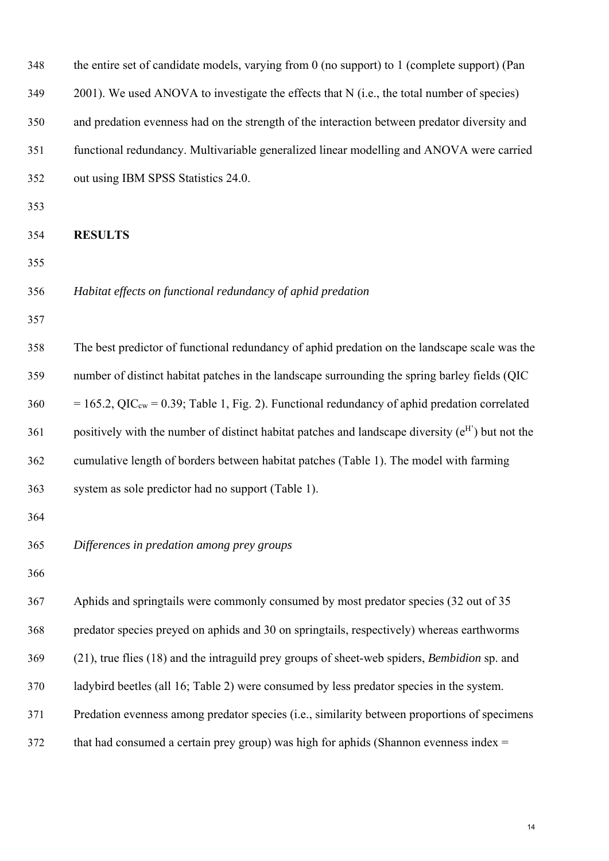| 348 | the entire set of candidate models, varying from 0 (no support) to 1 (complete support) (Pan                |
|-----|-------------------------------------------------------------------------------------------------------------|
| 349 | 2001). We used ANOVA to investigate the effects that N (i.e., the total number of species)                  |
| 350 | and predation evenness had on the strength of the interaction between predator diversity and                |
| 351 | functional redundancy. Multivariable generalized linear modelling and ANOVA were carried                    |
| 352 | out using IBM SPSS Statistics 24.0.                                                                         |
| 353 |                                                                                                             |
| 354 | <b>RESULTS</b>                                                                                              |
| 355 |                                                                                                             |
| 356 | Habitat effects on functional redundancy of aphid predation                                                 |
| 357 |                                                                                                             |
| 358 | The best predictor of functional redundancy of aphid predation on the landscape scale was the               |
| 359 | number of distinct habitat patches in the landscape surrounding the spring barley fields (QIC               |
| 360 | $= 165.2$ , QIC <sub>cw</sub> = 0.39; Table 1, Fig. 2). Functional redundancy of aphid predation correlated |
| 361 | positively with the number of distinct habitat patches and landscape diversity $(e^H)$ but not the          |
| 362 | cumulative length of borders between habitat patches (Table 1). The model with farming                      |
| 363 | system as sole predictor had no support (Table 1).                                                          |
| 364 |                                                                                                             |
| 365 | Differences in predation among prey groups                                                                  |
| 366 |                                                                                                             |
| 367 | Aphids and springtails were commonly consumed by most predator species (32 out of 35                        |
| 368 | predator species preyed on aphids and 30 on springtails, respectively) whereas earthworms                   |
| 369 | (21), true flies (18) and the intraguild prey groups of sheet-web spiders, Bembidion sp. and                |
| 370 | ladybird beetles (all 16; Table 2) were consumed by less predator species in the system.                    |
| 371 | Predation evenness among predator species (i.e., similarity between proportions of specimens                |
| 372 | that had consumed a certain prey group) was high for aphids (Shannon evenness index $=$                     |
|     |                                                                                                             |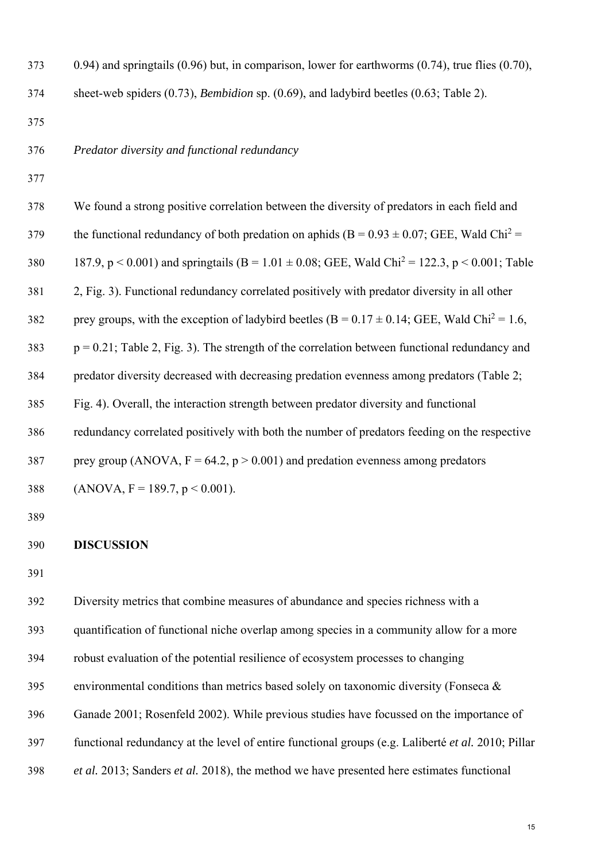| 373 | $(0.94)$ and springtails $(0.96)$ but, in comparison, lower for earthworms $(0.74)$ , true flies $(0.70)$ ,        |
|-----|--------------------------------------------------------------------------------------------------------------------|
| 374 | sheet-web spiders $(0.73)$ , <i>Bembidion</i> sp. $(0.69)$ , and ladybird beetles $(0.63;$ Table 2).               |
| 375 |                                                                                                                    |
| 376 | Predator diversity and functional redundancy                                                                       |
| 377 |                                                                                                                    |
| 378 | We found a strong positive correlation between the diversity of predators in each field and                        |
| 379 | the functional redundancy of both predation on aphids (B = $0.93 \pm 0.07$ ; GEE, Wald Chi <sup>2</sup> =          |
| 380 | 187.9, $p < 0.001$ ) and springtails (B = 1.01 $\pm$ 0.08; GEE, Wald Chi <sup>2</sup> = 122.3, $p < 0.001$ ; Table |
| 381 | 2, Fig. 3). Functional redundancy correlated positively with predator diversity in all other                       |
| 382 | prey groups, with the exception of ladybird beetles (B = $0.17 \pm 0.14$ ; GEE, Wald Chi <sup>2</sup> = 1.6,       |
| 383 | $p = 0.21$ ; Table 2, Fig. 3). The strength of the correlation between functional redundancy and                   |
| 384 | predator diversity decreased with decreasing predation evenness among predators (Table 2;                          |
| 385 | Fig. 4). Overall, the interaction strength between predator diversity and functional                               |
| 386 | redundancy correlated positively with both the number of predators feeding on the respective                       |
| 387 | prey group (ANOVA, $F = 64.2$ , $p > 0.001$ ) and predation evenness among predators                               |
| 388 | $(ANOVA, F = 189.7, p < 0.001).$                                                                                   |
| 389 |                                                                                                                    |
| 390 | <b>DISCUSSION</b>                                                                                                  |
| 391 |                                                                                                                    |
| 392 | Diversity metrics that combine measures of abundance and species richness with a                                   |
| 393 | quantification of functional niche overlap among species in a community allow for a more                           |
| 394 | robust evaluation of the potential resilience of ecosystem processes to changing                                   |
| 395 | environmental conditions than metrics based solely on taxonomic diversity (Fonseca $\&$                            |
| 396 | Ganade 2001; Rosenfeld 2002). While previous studies have focussed on the importance of                            |
| 397 | functional redundancy at the level of entire functional groups (e.g. Laliberté et al. 2010; Pillar                 |
| 398 | et al. 2013; Sanders et al. 2018), the method we have presented here estimates functional                          |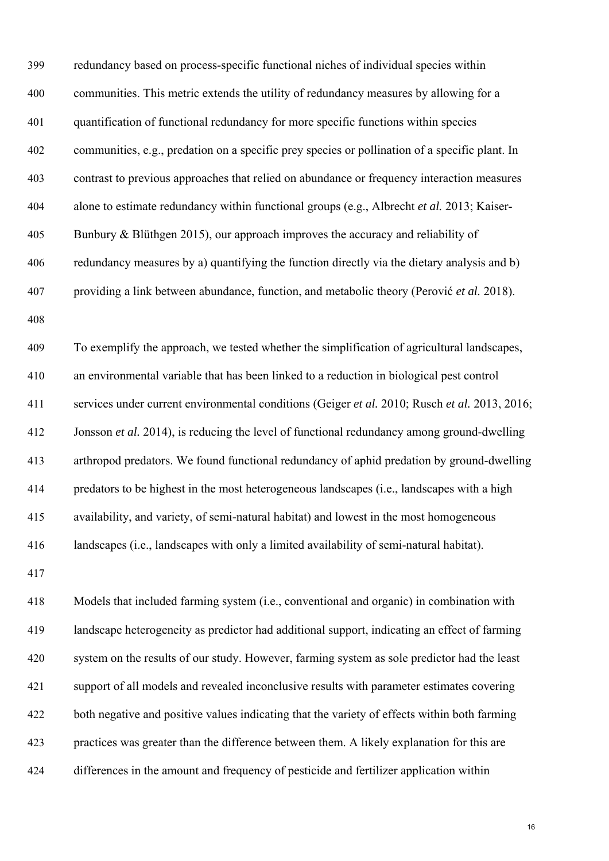| 399 | redundancy based on process-specific functional niches of individual species within            |
|-----|------------------------------------------------------------------------------------------------|
| 400 | communities. This metric extends the utility of redundancy measures by allowing for a          |
| 401 | quantification of functional redundancy for more specific functions within species             |
| 402 | communities, e.g., predation on a specific prey species or pollination of a specific plant. In |
| 403 | contrast to previous approaches that relied on abundance or frequency interaction measures     |
| 404 | alone to estimate redundancy within functional groups (e.g., Albrecht et al. 2013; Kaiser-     |
| 405 | Bunbury & Blüthgen 2015), our approach improves the accuracy and reliability of                |
| 406 | redundancy measures by a) quantifying the function directly via the dietary analysis and b)    |
| 407 | providing a link between abundance, function, and metabolic theory (Perović et al. 2018).      |
| 408 |                                                                                                |
| 409 | To exemplify the approach, we tested whether the simplification of agricultural landscapes,    |
| 410 | an environmental variable that has been linked to a reduction in biological pest control       |
| 411 | services under current environmental conditions (Geiger et al. 2010; Rusch et al. 2013, 2016;  |
| 412 | Jonsson et al. 2014), is reducing the level of functional redundancy among ground-dwelling     |
| 413 | arthropod predators. We found functional redundancy of aphid predation by ground-dwelling      |
| 414 | predators to be highest in the most heterogeneous landscapes (i.e., landscapes with a high     |
| 415 | availability, and variety, of semi-natural habitat) and lowest in the most homogeneous         |
| 416 | landscapes (i.e., landscapes with only a limited availability of semi-natural habitat).        |
| 417 |                                                                                                |
| 418 | Models that included farming system (i.e., conventional and organic) in combination with       |
|     |                                                                                                |

419 landscape heterogeneity as predictor had additional support, indicating an effect of farming 420 system on the results of our study. However, farming system as sole predictor had the least 421 support of all models and revealed inconclusive results with parameter estimates covering 422 both negative and positive values indicating that the variety of effects within both farming 423 practices was greater than the difference between them. A likely explanation for this are 424 differences in the amount and frequency of pesticide and fertilizer application within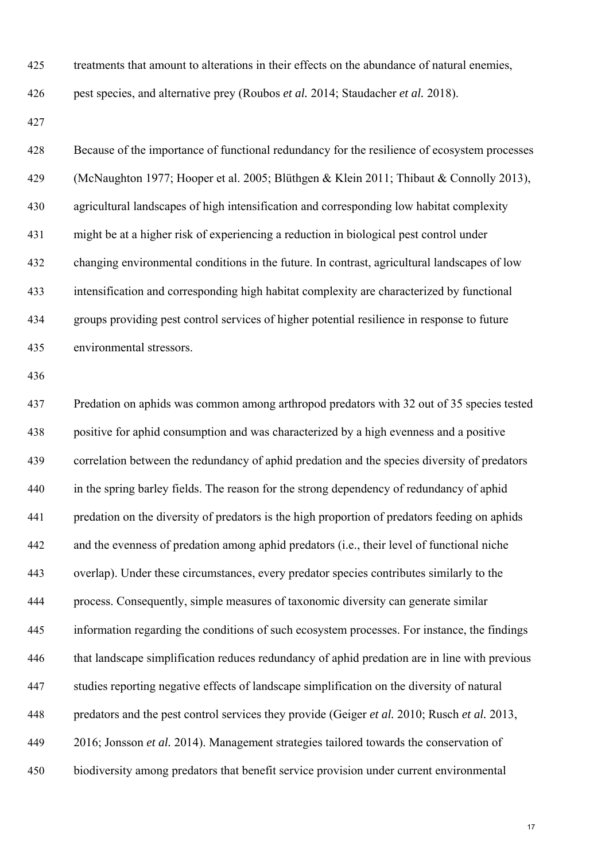425 treatments that amount to alterations in their effects on the abundance of natural enemies,

426 pest species, and alternative prey (Roubos *et al.* 2014; Staudacher *et al.* 2018).

427

| 428 | Because of the importance of functional redundancy for the resilience of ecosystem processes  |
|-----|-----------------------------------------------------------------------------------------------|
| 429 | (McNaughton 1977; Hooper et al. 2005; Blüthgen & Klein 2011; Thibaut & Connolly 2013),        |
| 430 | agricultural landscapes of high intensification and corresponding low habitat complexity      |
| 431 | might be at a higher risk of experiencing a reduction in biological pest control under        |
| 432 | changing environmental conditions in the future. In contrast, agricultural landscapes of low  |
| 433 | intensification and corresponding high habitat complexity are characterized by functional     |
| 434 | groups providing pest control services of higher potential resilience in response to future   |
| 435 | environmental stressors.                                                                      |
| 436 |                                                                                               |
| 437 | Predation on aphids was common among arthropod predators with 32 out of 35 species tested     |
| 438 | positive for aphid consumption and was characterized by a high evenness and a positive        |
| 439 | correlation between the redundancy of aphid predation and the species diversity of predators  |
| 440 | in the spring barley fields. The reason for the strong dependency of redundancy of aphid      |
| 441 | predation on the diversity of predators is the high proportion of predators feeding on aphids |
| 442 | and the evenness of predation among aphid predators (i.e., their level of functional niche    |
| 443 | overlap). Under these circumstances, every predator species contributes similarly to the      |
| 444 | process. Consequently, simple measures of taxonomic diversity can generate similar            |
| 445 | information regarding the conditions of such ecosystem processes. For instance, the findings  |
| 446 | that landscape simplification reduces redundancy of aphid predation are in line with previous |
| 447 | studies reporting negative effects of landscape simplification on the diversity of natural    |
| 448 | predators and the pest control services they provide (Geiger et al. 2010; Rusch et al. 2013,  |
| 449 | 2016; Jonsson et al. 2014). Management strategies tailored towards the conservation of        |
| 450 | biodiversity among predators that benefit service provision under current environmental       |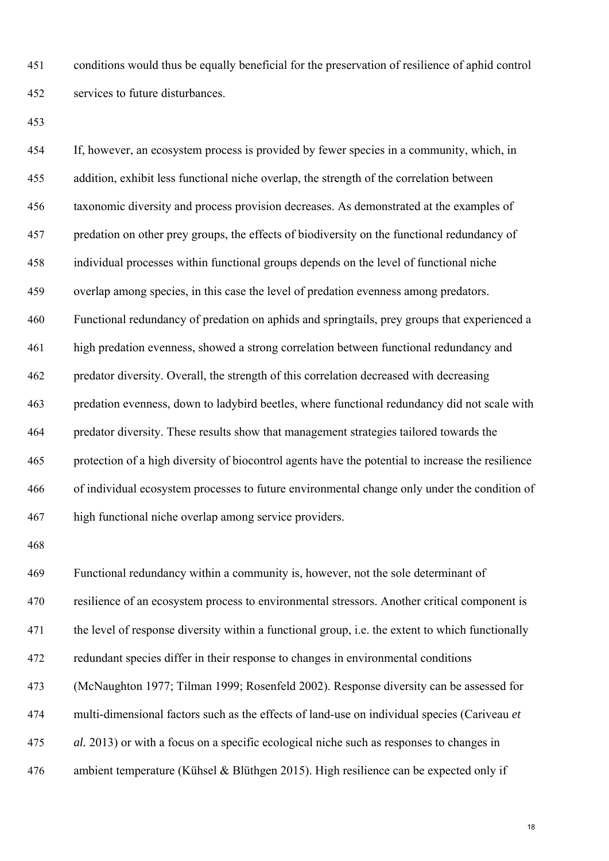451 conditions would thus be equally beneficial for the preservation of resilience of aphid control 452 services to future disturbances.

453

454 If, however, an ecosystem process is provided by fewer species in a community, which, in 455 addition, exhibit less functional niche overlap, the strength of the correlation between 456 taxonomic diversity and process provision decreases. As demonstrated at the examples of 457 predation on other prey groups, the effects of biodiversity on the functional redundancy of 458 individual processes within functional groups depends on the level of functional niche 459 overlap among species, in this case the level of predation evenness among predators. 460 Functional redundancy of predation on aphids and springtails, prey groups that experienced a 461 high predation evenness, showed a strong correlation between functional redundancy and 462 predator diversity. Overall, the strength of this correlation decreased with decreasing 463 predation evenness, down to ladybird beetles, where functional redundancy did not scale with 464 predator diversity. These results show that management strategies tailored towards the 465 protection of a high diversity of biocontrol agents have the potential to increase the resilience 466 of individual ecosystem processes to future environmental change only under the condition of 467 high functional niche overlap among service providers.

468

469 Functional redundancy within a community is, however, not the sole determinant of 470 resilience of an ecosystem process to environmental stressors. Another critical component is 471 the level of response diversity within a functional group, i.e. the extent to which functionally 472 redundant species differ in their response to changes in environmental conditions 473 (McNaughton 1977; Tilman 1999; Rosenfeld 2002). Response diversity can be assessed for 474 multi-dimensional factors such as the effects of land-use on individual species (Cariveau *et*  475 *al.* 2013) or with a focus on a specific ecological niche such as responses to changes in 476 ambient temperature (Kühsel & Blüthgen 2015). High resilience can be expected only if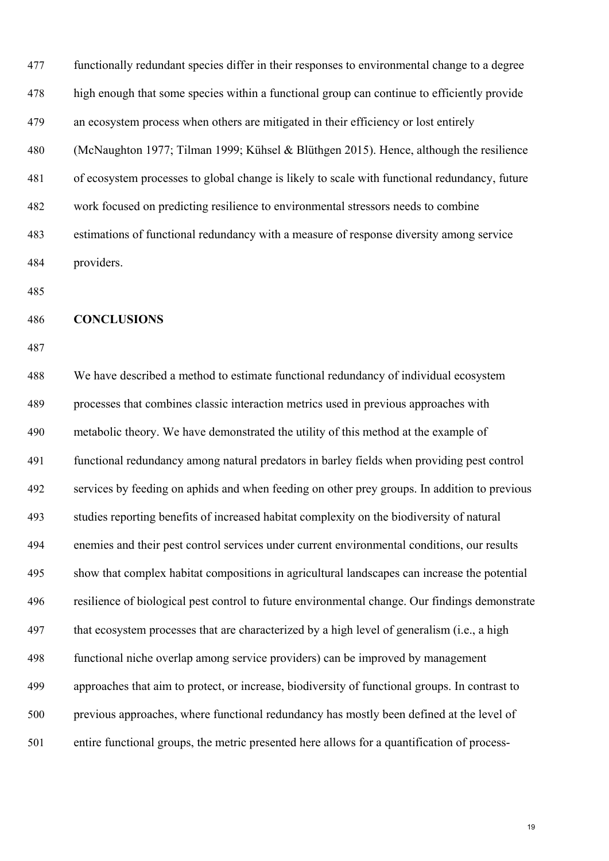| 477 | functionally redundant species differ in their responses to environmental change to a degree  |
|-----|-----------------------------------------------------------------------------------------------|
| 478 | high enough that some species within a functional group can continue to efficiently provide   |
| 479 | an ecosystem process when others are mitigated in their efficiency or lost entirely           |
| 480 | (McNaughton 1977; Tilman 1999; Kühsel & Blüthgen 2015). Hence, although the resilience        |
| 481 | of ecosystem processes to global change is likely to scale with functional redundancy, future |
| 482 | work focused on predicting resilience to environmental stressors needs to combine             |
| 483 | estimations of functional redundancy with a measure of response diversity among service       |
| 484 | providers.                                                                                    |

## 486 **CONCLUSIONS**

487

488 We have described a method to estimate functional redundancy of individual ecosystem 489 processes that combines classic interaction metrics used in previous approaches with 490 metabolic theory. We have demonstrated the utility of this method at the example of 491 functional redundancy among natural predators in barley fields when providing pest control 492 services by feeding on aphids and when feeding on other prey groups. In addition to previous 493 studies reporting benefits of increased habitat complexity on the biodiversity of natural 494 enemies and their pest control services under current environmental conditions, our results 495 show that complex habitat compositions in agricultural landscapes can increase the potential 496 resilience of biological pest control to future environmental change. Our findings demonstrate 497 that ecosystem processes that are characterized by a high level of generalism (i.e., a high 498 functional niche overlap among service providers) can be improved by management 499 approaches that aim to protect, or increase, biodiversity of functional groups. In contrast to 500 previous approaches, where functional redundancy has mostly been defined at the level of 501 entire functional groups, the metric presented here allows for a quantification of process-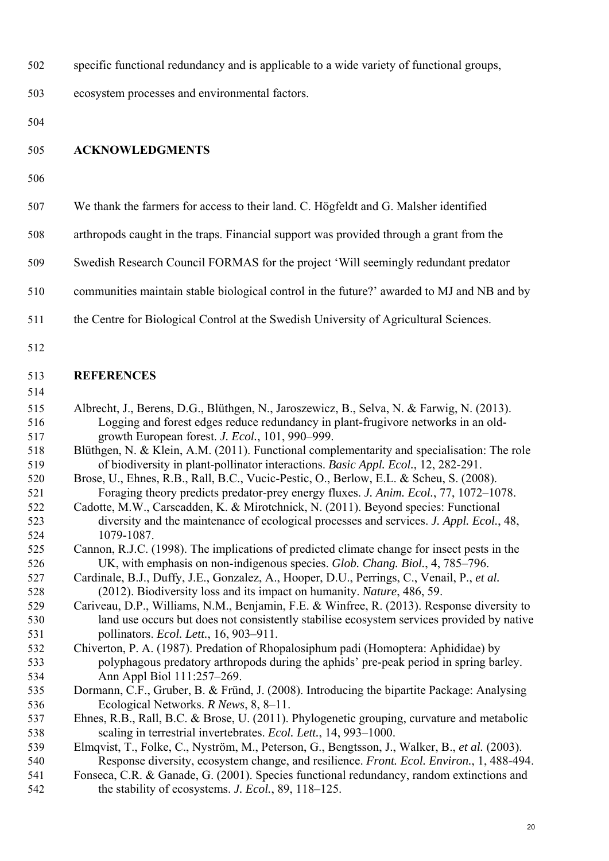| 502 |  |  | specific functional redundancy and is applicable to a wide variety of functional groups, |
|-----|--|--|------------------------------------------------------------------------------------------|
|     |  |  |                                                                                          |

503 ecosystem processes and environmental factors.

504

### 505 **ACKNOWLEDGMENTS**

506

| 507 |  |  | We thank the farmers for access to their land. C. Högfeldt and G. Malsher identified |
|-----|--|--|--------------------------------------------------------------------------------------|
|     |  |  |                                                                                      |

- 508 arthropods caught in the traps. Financial support was provided through a grant from the
- 509 Swedish Research Council FORMAS for the project 'Will seemingly redundant predator
- 510 communities maintain stable biological control in the future?' awarded to MJ and NB and by
- 511 the Centre for Biological Control at the Swedish University of Agricultural Sciences.
- 512

## 513 **REFERENCES**

| 515 | Albrecht, J., Berens, D.G., Blüthgen, N., Jaroszewicz, B., Selva, N. & Farwig, N. (2013). |
|-----|-------------------------------------------------------------------------------------------|
| 516 | Logging and forest edges reduce redundancy in plant-frugivore networks in an old-         |
| 517 | growth European forest. J. Ecol., 101, 990–999.                                           |

- 518 Blüthgen, N. & Klein, A.M. (2011). Functional complementarity and specialisation: The role 519 of biodiversity in plant-pollinator interactions. *Basic Appl. Ecol.*, 12, 282-291.
- 520 Brose, U., Ehnes, R.B., Rall, B.C., Vucic-Pestic, O., Berlow, E.L. & Scheu, S. (2008). 521 Foraging theory predicts predator-prey energy fluxes. *J. Anim. Ecol.*, 77, 1072–1078.
- 522 Cadotte, M.W., Carscadden, K. & Mirotchnick, N. (2011). Beyond species: Functional 523 diversity and the maintenance of ecological processes and services. *J. Appl. Ecol.*, 48, 524 1079-1087.
- 525 Cannon, R.J.C. (1998). The implications of predicted climate change for insect pests in the 526 UK, with emphasis on non-indigenous species. *Glob. Chang. Biol.*, 4, 785–796.
- 527 Cardinale, B.J., Duffy, J.E., Gonzalez, A., Hooper, D.U., Perrings, C., Venail, P., *et al.* 528 (2012). Biodiversity loss and its impact on humanity. *Nature*, 486, 59.
- 529 Cariveau, D.P., Williams, N.M., Benjamin, F.E. & Winfree, R. (2013). Response diversity to 530 land use occurs but does not consistently stabilise ecosystem services provided by native 531 pollinators. *Ecol. Lett.*, 16, 903–911.
- 532 Chiverton, P. A. (1987). Predation of Rhopalosiphum padi (Homoptera: Aphididae) by 533 polyphagous predatory arthropods during the aphids' pre-peak period in spring barley. 534 Ann Appl Biol 111:257–269.
- 535 Dormann, C.F., Gruber, B. & Fründ, J. (2008). Introducing the bipartite Package: Analysing 536 Ecological Networks. *R News*, 8, 8–11.
- 537 Ehnes, R.B., Rall, B.C. & Brose, U. (2011). Phylogenetic grouping, curvature and metabolic 538 scaling in terrestrial invertebrates. *Ecol. Lett.*, 14, 993–1000.
- 539 Elmqvist, T., Folke, C., Nyström, M., Peterson, G., Bengtsson, J., Walker, B., *et al.* (2003). 540 Response diversity, ecosystem change, and resilience. *Front. Ecol. Environ.*, 1, 488-494.
- 541 Fonseca, C.R. & Ganade, G. (2001). Species functional redundancy, random extinctions and 542 the stability of ecosystems. *J. Ecol.*, 89, 118–125.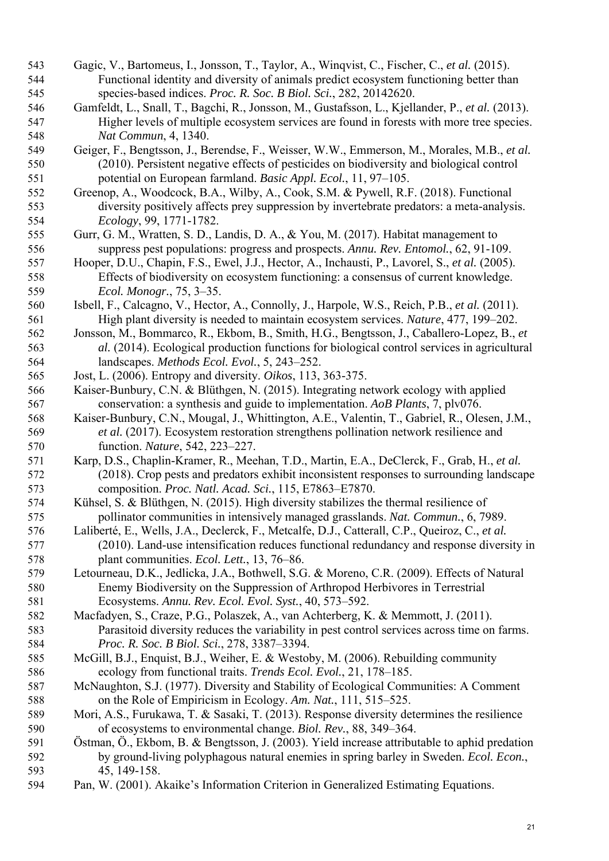- 543 Gagic, V., Bartomeus, I., Jonsson, T., Taylor, A., Winqvist, C., Fischer, C., *et al.* (2015). 544 Functional identity and diversity of animals predict ecosystem functioning better than 545 species-based indices. *Proc. R. Soc. B Biol. Sci.*, 282, 20142620.
- 546 Gamfeldt, L., Snall, T., Bagchi, R., Jonsson, M., Gustafsson, L., Kjellander, P., *et al.* (2013). 547 Higher levels of multiple ecosystem services are found in forests with more tree species. 548 *Nat Commun*, 4, 1340.
- 549 Geiger, F., Bengtsson, J., Berendse, F., Weisser, W.W., Emmerson, M., Morales, M.B., *et al.* 550 (2010). Persistent negative effects of pesticides on biodiversity and biological control 551 potential on European farmland. *Basic Appl. Ecol.*, 11, 97–105.
- 552 Greenop, A., Woodcock, B.A., Wilby, A., Cook, S.M. & Pywell, R.F. (2018). Functional 553 diversity positively affects prey suppression by invertebrate predators: a meta-analysis. 554 *Ecology*, 99, 1771-1782.
- 555 Gurr, G. M., Wratten, S. D., Landis, D. A., & You, M. (2017). Habitat management to 556 suppress pest populations: progress and prospects. *Annu. Rev. Entomol.*, 62, 91-109.
- 557 Hooper, D.U., Chapin, F.S., Ewel, J.J., Hector, A., Inchausti, P., Lavorel, S., *et al.* (2005). 558 Effects of biodiversity on ecosystem functioning: a consensus of current knowledge. 559 *Ecol. Monogr.*, 75, 3–35.
- 560 Isbell, F., Calcagno, V., Hector, A., Connolly, J., Harpole, W.S., Reich, P.B., *et al.* (2011). 561 High plant diversity is needed to maintain ecosystem services. *Nature*, 477, 199–202.
- 562 Jonsson, M., Bommarco, R., Ekbom, B., Smith, H.G., Bengtsson, J., Caballero-Lopez, B., *et*  563 *al.* (2014). Ecological production functions for biological control services in agricultural 564 landscapes. *Methods Ecol. Evol.*, 5, 243–252.
- 565 Jost, L. (2006). Entropy and diversity. *Oikos*, 113, 363-375.
- 566 Kaiser-Bunbury, C.N. & Blüthgen, N. (2015). Integrating network ecology with applied 567 conservation: a synthesis and guide to implementation. *AoB Plants*, 7, plv076.
- 568 Kaiser-Bunbury, C.N., Mougal, J., Whittington, A.E., Valentin, T., Gabriel, R., Olesen, J.M., 569 *et al.* (2017). Ecosystem restoration strengthens pollination network resilience and 570 function. *Nature*, 542, 223–227.
- 571 Karp, D.S., Chaplin-Kramer, R., Meehan, T.D., Martin, E.A., DeClerck, F., Grab, H., *et al.* 572 (2018). Crop pests and predators exhibit inconsistent responses to surrounding landscape 573 composition. *Proc. Natl. Acad. Sci.*, 115, E7863–E7870.
- 574 Kühsel, S. & Blüthgen, N. (2015). High diversity stabilizes the thermal resilience of 575 pollinator communities in intensively managed grasslands. *Nat. Commun.*, 6, 7989.
- 576 Laliberté, E., Wells, J.A., Declerck, F., Metcalfe, D.J., Catterall, C.P., Queiroz, C., *et al.* 577 (2010). Land-use intensification reduces functional redundancy and response diversity in 578 plant communities. *Ecol. Lett.*, 13, 76–86.
- 579 Letourneau, D.K., Jedlicka, J.A., Bothwell, S.G. & Moreno, C.R. (2009). Effects of Natural 580 Enemy Biodiversity on the Suppression of Arthropod Herbivores in Terrestrial 581 Ecosystems. *Annu. Rev. Ecol. Evol. Syst.*, 40, 573–592.
- 582 Macfadyen, S., Craze, P.G., Polaszek, A., van Achterberg, K. & Memmott, J. (2011). 583 Parasitoid diversity reduces the variability in pest control services across time on farms. 584 *Proc. R. Soc. B Biol. Sci.*, 278, 3387–3394.
- 585 McGill, B.J., Enquist, B.J., Weiher, E. & Westoby, M. (2006). Rebuilding community 586 ecology from functional traits. *Trends Ecol. Evol.*, 21, 178–185.
- 587 McNaughton, S.J. (1977). Diversity and Stability of Ecological Communities: A Comment 588 on the Role of Empiricism in Ecology. *Am. Nat.*, 111, 515–525.
- 589 Mori, A.S., Furukawa, T. & Sasaki, T. (2013). Response diversity determines the resilience 590 of ecosystems to environmental change. *Biol. Rev.*, 88, 349–364.
- 591 Östman, Ö., Ekbom, B. & Bengtsson, J. (2003). Yield increase attributable to aphid predation 592 by ground-living polyphagous natural enemies in spring barley in Sweden. *Ecol. Econ.*, 593 45, 149-158.
- 594 Pan, W. (2001). Akaike's Information Criterion in Generalized Estimating Equations.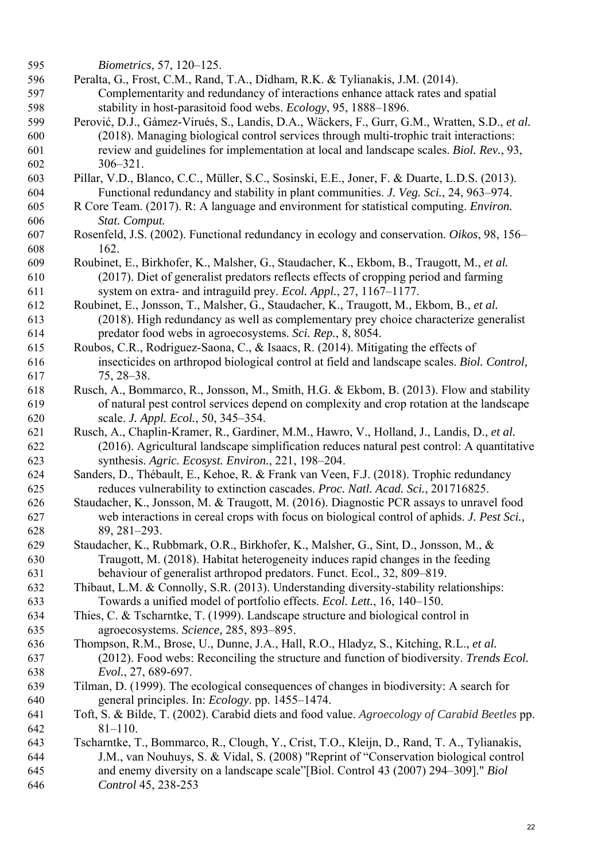| 595 | <i>Biometrics</i> , 57, 120–125.                                                               |
|-----|------------------------------------------------------------------------------------------------|
| 596 | Peralta, G., Frost, C.M., Rand, T.A., Didham, R.K. & Tylianakis, J.M. (2014).                  |
| 597 | Complementarity and redundancy of interactions enhance attack rates and spatial                |
| 598 | stability in host-parasitoid food webs. Ecology, 95, 1888–1896.                                |
| 599 | Perović, D.J., Gámez-Virués, S., Landis, D.A., Wäckers, F., Gurr, G.M., Wratten, S.D., et al.  |
| 600 | (2018). Managing biological control services through multi-trophic trait interactions:         |
| 601 | review and guidelines for implementation at local and landscape scales. Biol. Rev., 93,        |
| 602 | $306 - 321.$                                                                                   |
| 603 | Pillar, V.D., Blanco, C.C., Müller, S.C., Sosinski, E.E., Joner, F. & Duarte, L.D.S. (2013).   |
| 604 | Functional redundancy and stability in plant communities. J. Veg. Sci., 24, 963–974.           |
| 605 | R Core Team. (2017). R: A language and environment for statistical computing. <i>Environ</i> . |
| 606 | Stat. Comput.                                                                                  |
| 607 | Rosenfeld, J.S. (2002). Functional redundancy in ecology and conservation. Oikos, 98, 156-     |
| 608 | 162.                                                                                           |
| 609 | Roubinet, E., Birkhofer, K., Malsher, G., Staudacher, K., Ekbom, B., Traugott, M., et al.      |
| 610 | (2017). Diet of generalist predators reflects effects of cropping period and farming           |
| 611 | system on extra- and intraguild prey. Ecol. Appl., 27, 1167–1177.                              |
| 612 | Roubinet, E., Jonsson, T., Malsher, G., Staudacher, K., Traugott, M., Ekbom, B., et al.        |
| 613 | (2018). High redundancy as well as complementary prey choice characterize generalist           |
| 614 | predator food webs in agroecosystems. Sci. Rep., 8, 8054.                                      |
| 615 | Roubos, C.R., Rodriguez-Saona, C., & Isaacs, R. (2014). Mitigating the effects of              |
| 616 | insecticides on arthropod biological control at field and landscape scales. Biol. Control,     |
| 617 | $75, 28 - 38.$                                                                                 |
| 618 | Rusch, A., Bommarco, R., Jonsson, M., Smith, H.G. & Ekbom, B. (2013). Flow and stability       |
| 619 | of natural pest control services depend on complexity and crop rotation at the landscape       |
| 620 | scale. J. Appl. Ecol., 50, 345-354.                                                            |
| 621 | Rusch, A., Chaplin-Kramer, R., Gardiner, M.M., Hawro, V., Holland, J., Landis, D., et al.      |
| 622 | (2016). Agricultural landscape simplification reduces natural pest control: A quantitative     |
| 623 | synthesis. Agric. Ecosyst. Environ., 221, 198-204.                                             |
| 624 | Sanders, D., Thébault, E., Kehoe, R. & Frank van Veen, F.J. (2018). Trophic redundancy         |
| 625 | reduces vulnerability to extinction cascades. Proc. Natl. Acad. Sci., 201716825.               |
| 626 | Staudacher, K., Jonsson, M. & Traugott, M. (2016). Diagnostic PCR assays to unravel food       |
| 627 | web interactions in cereal crops with focus on biological control of aphids. J. Pest Sci.,     |
| 628 | 89, 281-293.                                                                                   |
| 629 | Staudacher, K., Rubbmark, O.R., Birkhofer, K., Malsher, G., Sint, D., Jonsson, M., &           |
| 630 | Traugott, M. (2018). Habitat heterogeneity induces rapid changes in the feeding                |
| 631 | behaviour of generalist arthropod predators. Funct. Ecol., 32, 809–819.                        |
| 632 | Thibaut, L.M. & Connolly, S.R. (2013). Understanding diversity-stability relationships:        |
| 633 | Towards a unified model of portfolio effects. Ecol. Lett., 16, 140-150.                        |
| 634 | Thies, C. & Tscharntke, T. (1999). Landscape structure and biological control in               |
| 635 | agroecosystems. Science, 285, 893-895.                                                         |
| 636 | Thompson, R.M., Brose, U., Dunne, J.A., Hall, R.O., Hladyz, S., Kitching, R.L., et al.         |
| 637 | (2012). Food webs: Reconciling the structure and function of biodiversity. Trends Ecol.        |
| 638 | Evol., 27, 689-697.                                                                            |
| 639 | Tilman, D. (1999). The ecological consequences of changes in biodiversity: A search for        |
| 640 | general principles. In: <i>Ecology</i> . pp. 1455–1474.                                        |
| 641 | Toft, S. & Bilde, T. (2002). Carabid diets and food value. Agroecology of Carabid Beetles pp.  |
| 642 | $81 - 110.$                                                                                    |
| 643 | Tscharntke, T., Bommarco, R., Clough, Y., Crist, T.O., Kleijn, D., Rand, T. A., Tylianakis,    |
| 644 | J.M., van Nouhuys, S. & Vidal, S. (2008) "Reprint of "Conservation biological control          |
| 645 | and enemy diversity on a landscape scale"[Biol. Control 43 (2007) 294–309]." Biol              |
| 646 | Control 45, 238-253                                                                            |
|     |                                                                                                |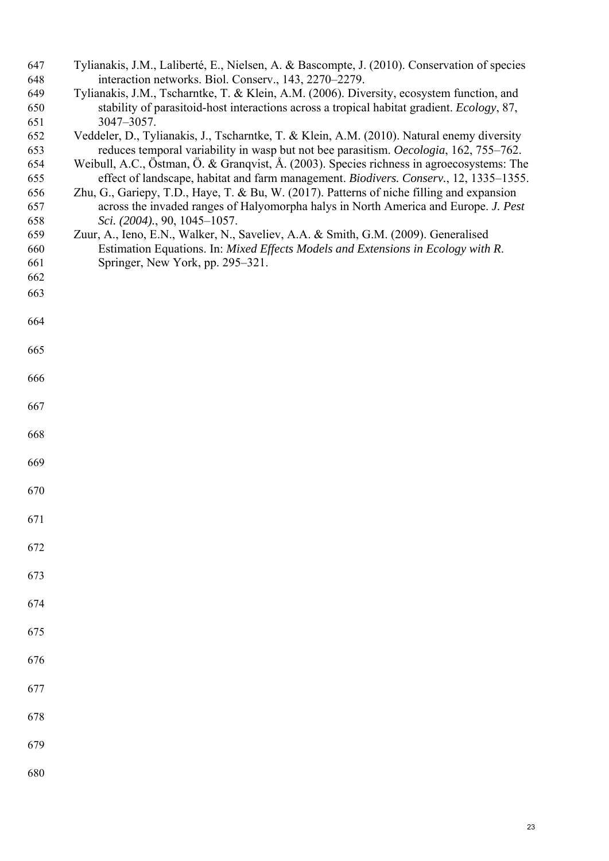| 647 | Tylianakis, J.M., Laliberté, E., Nielsen, A. & Bascompte, J. (2010). Conservation of species |
|-----|----------------------------------------------------------------------------------------------|
| 648 | interaction networks. Biol. Conserv., 143, 2270–2279.                                        |
| 649 | Tylianakis, J.M., Tscharntke, T. & Klein, A.M. (2006). Diversity, ecosystem function, and    |
| 650 | stability of parasitoid-host interactions across a tropical habitat gradient. Ecology, 87,   |
| 651 | 3047-3057.                                                                                   |
| 652 | Veddeler, D., Tylianakis, J., Tscharntke, T. & Klein, A.M. (2010). Natural enemy diversity   |
| 653 | reduces temporal variability in wasp but not bee parasitism. Oecologia, 162, 755–762.        |
| 654 | Weibull, A.C., Östman, Ö. & Granqvist, Å. (2003). Species richness in agroecosystems: The    |
| 655 | effect of landscape, habitat and farm management. Biodivers. Conserv., 12, 1335–1355.        |
| 656 | Zhu, G., Gariepy, T.D., Haye, T. & Bu, W. (2017). Patterns of niche filling and expansion    |
| 657 | across the invaded ranges of Halyomorpha halys in North America and Europe. J. Pest          |
| 658 | Sci. (2004)., 90, 1045-1057.                                                                 |
| 659 | Zuur, A., Ieno, E.N., Walker, N., Saveliev, A.A. & Smith, G.M. (2009). Generalised           |
| 660 | Estimation Equations. In: Mixed Effects Models and Extensions in Ecology with R.             |
|     |                                                                                              |
| 661 | Springer, New York, pp. 295–321.                                                             |
| 662 |                                                                                              |
| 663 |                                                                                              |
| 664 |                                                                                              |
|     |                                                                                              |
| 665 |                                                                                              |
|     |                                                                                              |
| 666 |                                                                                              |
|     |                                                                                              |
|     |                                                                                              |
| 667 |                                                                                              |
|     |                                                                                              |
| 668 |                                                                                              |
|     |                                                                                              |
| 669 |                                                                                              |
|     |                                                                                              |
| 670 |                                                                                              |
|     |                                                                                              |
| 671 |                                                                                              |
|     |                                                                                              |
| 672 |                                                                                              |
|     |                                                                                              |
| 673 |                                                                                              |
|     |                                                                                              |
| 674 |                                                                                              |
|     |                                                                                              |
| 675 |                                                                                              |
|     |                                                                                              |
| 676 |                                                                                              |
|     |                                                                                              |
| 677 |                                                                                              |
|     |                                                                                              |
|     |                                                                                              |
| 678 |                                                                                              |
|     |                                                                                              |
| 679 |                                                                                              |
|     |                                                                                              |
| 680 |                                                                                              |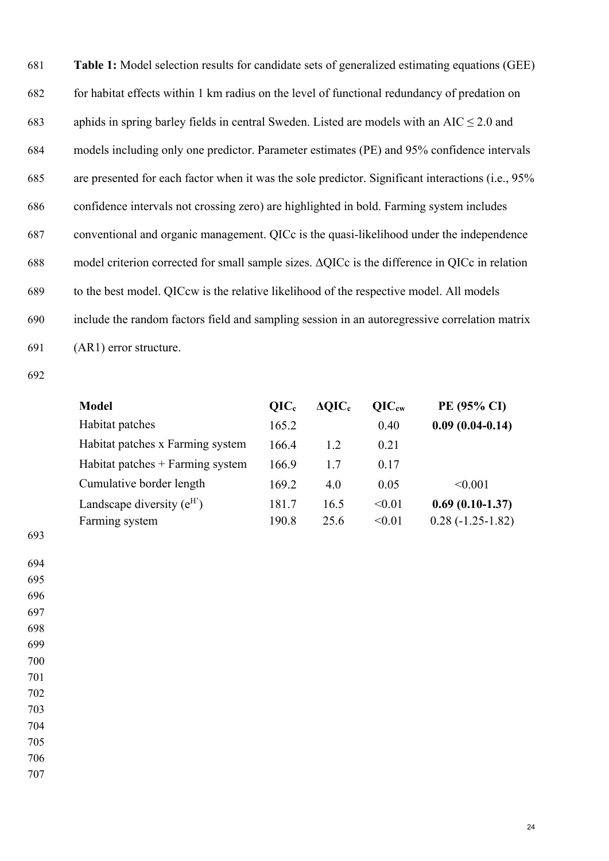681 **Table 1:** Model selection results for candidate sets of generalized estimating equations (GEE) 682 for habitat effects within 1 km radius on the level of functional redundancy of predation on 683 aphids in spring barley fields in central Sweden. Listed are models with an AIC  $\leq$  2.0 and 684 models including only one predictor. Parameter estimates (PE) and 95% confidence intervals 685 are presented for each factor when it was the sole predictor. Significant interactions (i.e., 95% 686 confidence intervals not crossing zero) are highlighted in bold. Farming system includes 687 conventional and organic management. QICc is the quasi-likelihood under the independence 688 model criterion corrected for small sample sizes. ΔQICc is the difference in QICc in relation 689 to the best model. QICcw is the relative likelihood of the respective model. All models 690 include the random factors field and sampling session in an autoregressive correlation matrix 691 (AR1) error structure.

692

| <b>Model</b>                       | OIC <sub>c</sub> | $\Delta QIC_c$ | $OIC_{cw}$ | PE (95% CI)        |
|------------------------------------|------------------|----------------|------------|--------------------|
| Habitat patches                    | 165.2            |                | 0.40       | $0.09(0.04-0.14)$  |
| Habitat patches x Farming system   | 166.4            | 1.2            | 0.21       |                    |
| Habitat patches $+$ Farming system | 166.9            | 1.7            | 0.17       |                    |
| Cumulative border length           | 169.2            | 4.0            | 0.05       | < 0.001            |
| Landscape diversity $(e^H)$        | 181.7            | 16.5           | < 0.01     | $0.69(0.10-1.37)$  |
| Farming system                     | 190.8            | 25.6           | < 0.01     | $0.28(-1.25-1.82)$ |

693

694

703

704

705

706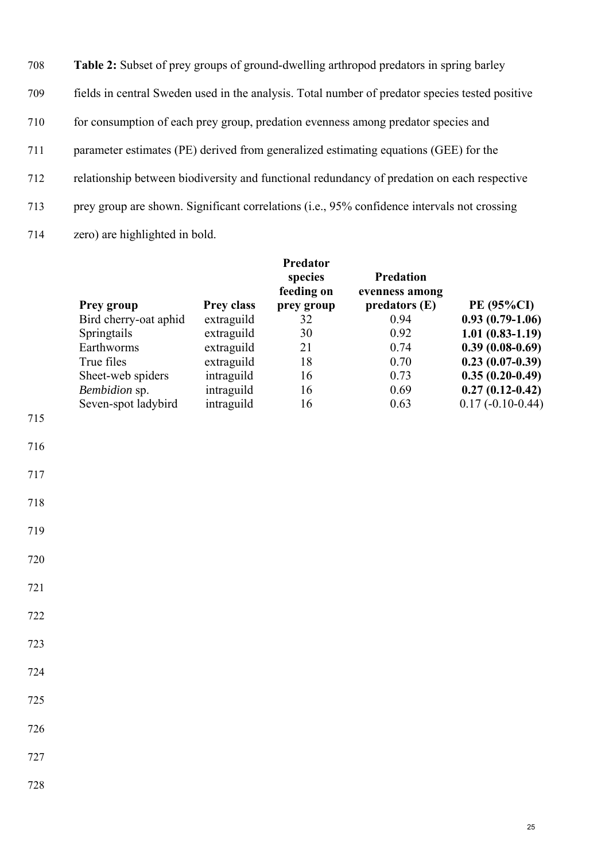| 708 | <b>Table 2:</b> Subset of prey groups of ground-dwelling arthropod predators in spring barley   |
|-----|-------------------------------------------------------------------------------------------------|
| 709 | fields in central Sweden used in the analysis. Total number of predator species tested positive |
| 710 | for consumption of each prey group, predation evenness among predator species and               |
| 711 | parameter estimates (PE) derived from generalized estimating equations (GEE) for the            |
| 712 | relationship between biodiversity and functional redundancy of predation on each respective     |
| 713 | prey group are shown. Significant correlations (i.e., 95% confidence intervals not crossing     |
| 714 | zero) are highlighted in bold.                                                                  |

|     |                       |                   | Predator<br>species<br>feeding on | <b>Predation</b><br>evenness among |                    |
|-----|-----------------------|-------------------|-----------------------------------|------------------------------------|--------------------|
|     | <b>Prey group</b>     | <b>Prey class</b> | prey group                        | predators(E)                       | <b>PE (95%CI)</b>  |
|     | Bird cherry-oat aphid | extraguild        | 32                                | 0.94                               | $0.93(0.79-1.06)$  |
|     | Springtails           | extraguild        | 30                                | 0.92                               | $1.01(0.83-1.19)$  |
|     | Earthworms            | extraguild        | 21                                | 0.74                               | $0.39(0.08-0.69)$  |
|     | True files            | extraguild        | 18                                | 0.70                               | $0.23(0.07-0.39)$  |
|     | Sheet-web spiders     | intraguild        | 16                                | 0.73                               | $0.35(0.20-0.49)$  |
|     | Bembidion sp.         | intraguild        | 16                                | 0.69                               | $0.27(0.12-0.42)$  |
|     | Seven-spot ladybird   | intraguild        | 16                                | 0.63                               | $0.17(-0.10-0.44)$ |
| 715 |                       |                   |                                   |                                    |                    |
| 716 |                       |                   |                                   |                                    |                    |
| 717 |                       |                   |                                   |                                    |                    |
| 718 |                       |                   |                                   |                                    |                    |

- 
- 722
- 723
- 724
- 725
- 726
- 
- 727
- 728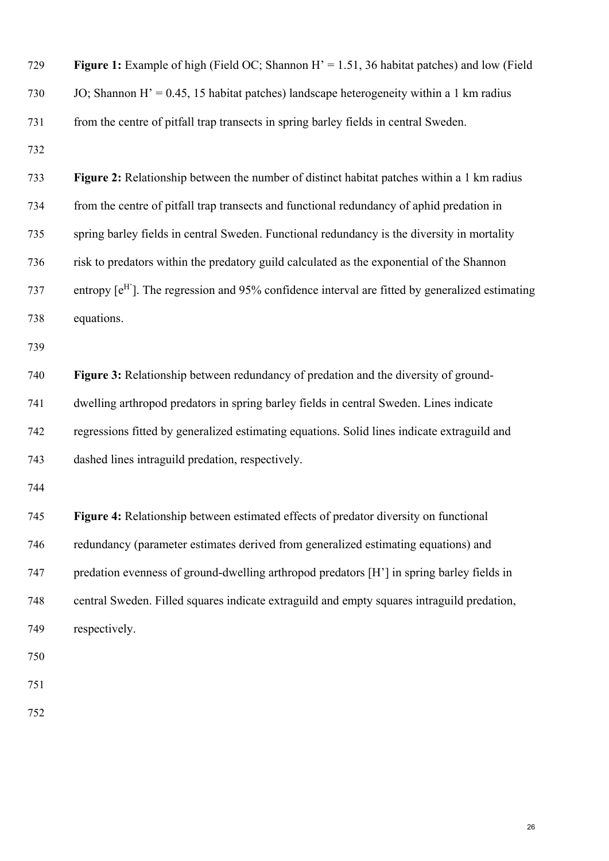| 729 | <b>Figure 1:</b> Example of high (Field OC; Shannon $H' = 1.51$ , 36 habitat patches) and low (Field |
|-----|------------------------------------------------------------------------------------------------------|
| 730 | JO; Shannon H' = $0.45$ , 15 habitat patches) landscape heterogeneity within a 1 km radius           |
| 731 | from the centre of pitfall trap transects in spring barley fields in central Sweden.                 |
| 732 |                                                                                                      |
| 733 | Figure 2: Relationship between the number of distinct habitat patches within a 1 km radius           |
| 734 | from the centre of pitfall trap transects and functional redundancy of aphid predation in            |
| 735 | spring barley fields in central Sweden. Functional redundancy is the diversity in mortality          |
| 736 | risk to predators within the predatory guild calculated as the exponential of the Shannon            |
| 737 | entropy $[e^H]$ . The regression and 95% confidence interval are fitted by generalized estimating    |
| 738 | equations.                                                                                           |
| 739 |                                                                                                      |
| 740 | Figure 3: Relationship between redundancy of predation and the diversity of ground-                  |
| 741 | dwelling arthropod predators in spring barley fields in central Sweden. Lines indicate               |
| 742 | regressions fitted by generalized estimating equations. Solid lines indicate extraguild and          |
| 743 | dashed lines intraguild predation, respectively.                                                     |
| 744 |                                                                                                      |
| 745 | Figure 4: Relationship between estimated effects of predator diversity on functional                 |
| 746 | redundancy (parameter estimates derived from generalized estimating equations) and                   |
| 747 | predation evenness of ground-dwelling arthropod predators [H'] in spring barley fields in            |
| 748 | central Sweden. Filled squares indicate extraguild and empty squares intraguild predation,           |
| 749 | respectively.                                                                                        |
| 750 |                                                                                                      |
| 751 |                                                                                                      |
| 752 |                                                                                                      |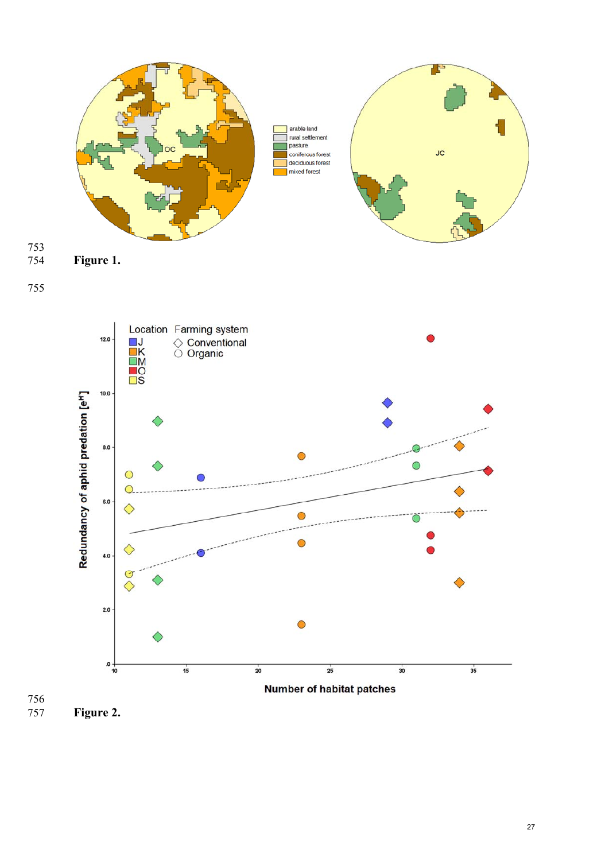

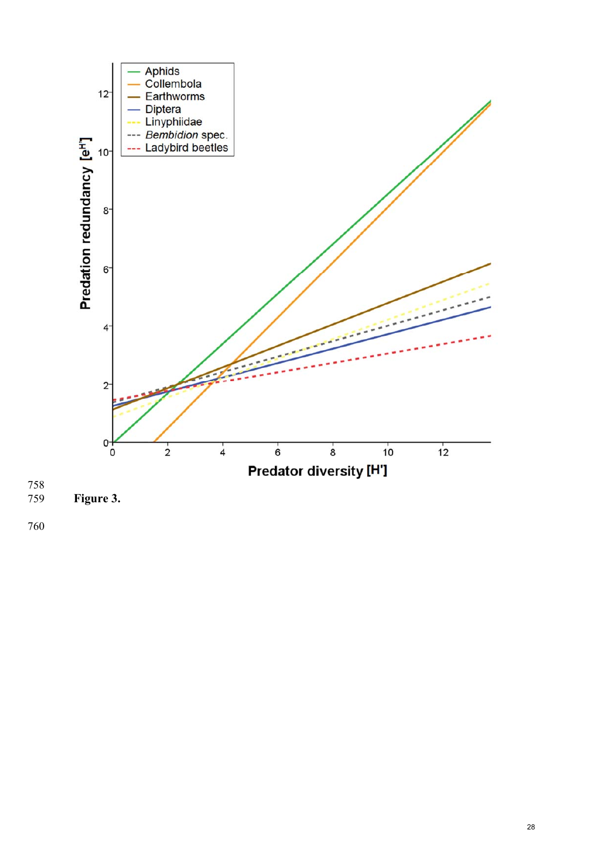